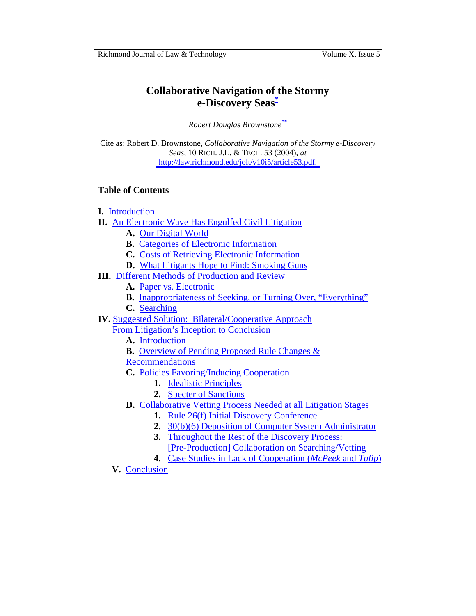# <span id="page-0-0"></span>**Collaborative Navigation of the Stormy e-Discovery Seas[\\*](#page-19-0)**

*Robert Douglas Brownstone***[\\*\\*](#page-19-0)**

Cite as: Robert D. Brownstone, *Collaborative Navigation of the Stormy e-Discovery Seas*, 10 RICH. J.L. & TECH. 53 (2004), *at*  [http://law.richmond.edu/jolt/v10i5/article53.pdf.](http://law.richmond.edu/jolt/v10i5/article53.pdf)

# **Table of Contents**

- **I.** [Introduction](#page-1-0)
- **II.** [An Electronic Wave Has Engulfed Civil Litigation](#page-2-0)
	- **A.** [Our Digital World](#page-2-0)
	- **B.** [Categories of Electronic Information](#page-3-0)
	- **C.** [Costs of Retrieving Electronic Information](#page-4-0)
	- **D.** [What Litigants Hope to Find: Smoking Guns](#page-6-0)
- **III.** [Different Methods of Production and Review](#page-7-0)
	- **A.** [Paper vs. Electronic](#page-7-0)
	- **B.** [Inappropriateness of Seeking, or Turning Over, "Everything"](#page-8-0)
	- **C.** [Searching](#page-8-0)
- **IV.** [Suggested Solution: Bilateral/Cooperative Approach](#page-9-0)
	- From Litigation's Inception to Conclusion
		- **A.** [Introduction](#page-9-0)
		- **B.** [Overview of Pending Proposed Rule Changes &](#page-10-0)
		- Recommendations
		- **C.** [Policies Favoring/Inducing Cooperation](#page-12-0)
			- **1.** [Idealistic Principles](#page-12-0)
			- **2.** [Specter of Sanctions](#page-12-0)
		- **D.** [Collaborative Vetting Process Needed at all Litigation Stages](#page-14-0)
			- **1.** [Rule 26\(f\) Initial Discovery Conference](#page-14-0)
			- **2.** [30\(b\)\(6\) Deposition of Computer System Administrator](#page-14-0)
			- **3.** Throughout the Rest of the Discovery Process:
			- [\[Pre-Production\] Collaboration on Searching/Vetting](#page-15-0)
			- **4.** [Case Studies in Lack of Cooperation \(](#page-17-0)*McPeek* and *Tulip*)
	- **V.** [Conclusion](#page-18-0)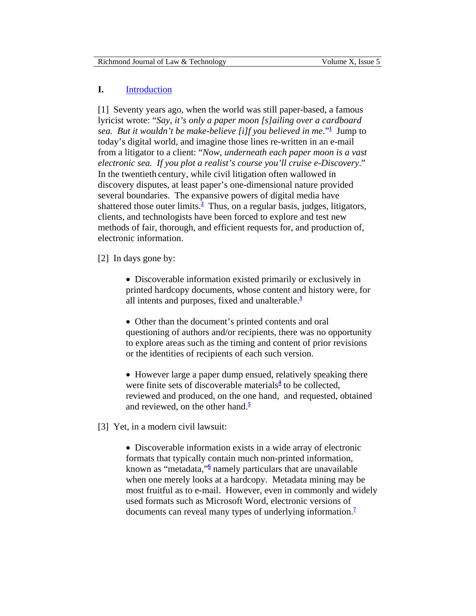### <span id="page-1-0"></span>**I.** [Introduction](#page-0-0)

[1] Seventy years ago, when the world was still paper-based, a famous lyricist wrote: "*Say, it's only a paper moon [s]ailing over a cardboard sea. But it wouldn't be make-believe [i]f you believed in me*."**[1](#page-19-0)** Jump to today's digital world, and imagine those lines re-written in an e-mail from a litigator to a client: "*Now, underneath each paper moon is a vast electronic sea. If you plot a realist's course you'll cruise e-Discovery*." In the twentieth century, while civil litigation often wallowed in discovery disputes, at least paper's one-dimensional nature provided several boundaries. The expansive powers of digital media have shattered those outer limits.**[2](#page-19-0)** Thus, on a regular basis, judges, litigators, clients, and technologists have been forced to explore and test new methods of fair, thorough, and efficient requests for, and production of, electronic information.

[2] In days gone by:

• Discoverable information existed primarily or exclusively in printed hardcopy documents, whose content and history were, for all intents and purposes, fixed and unalterable.**[3](#page-19-0)**

• Other than the document's printed contents and oral questioning of authors and/or recipients, there was no opportunity to explore areas such as the timing and content of prior revisions or the identities of recipients of each such version.

• However large a paper dump ensued, relatively speaking there were finite sets of discoverable materials<sup>[4](#page-19-0)</sup> to be collected, reviewed and produced, on the one hand, and requested, obtained and reviewed, on the other hand.**[5](#page-20-0)**

[3] Yet, in a modern civil lawsuit:

• Discoverable information exists in a wide array of electronic formats that typically contain much non-printed information, known as "metadata,"**[6](#page-20-0)** namely particulars that are unavailable when one merely looks at a hardcopy. Metadata mining may be most fruitful as to e-mail. However, even in commonly and widely used formats such as Microsoft Word, electronic versions of documents can reveal many types of underlying informatio[n.](#page-21-0)**7**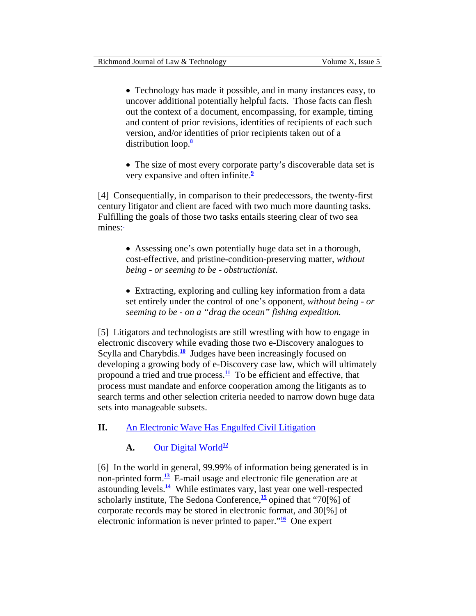<span id="page-2-0"></span>• Technology has made it possible, and in many instances easy, to uncover additional potentially helpful facts. Those facts can flesh out the context of a document, encompassing, for example, timing and content of prior revisions, identities of recipients of each such version, and/or identities of prior recipients taken out of a distribution loo[p.](#page-21-0)**<sup>8</sup>**

• The size of most every corporate party's discoverable data set is very expansive and often infinite.**[9](#page-21-0)**

[4] Consequentially, in comparison to their predecessors, the twenty-first century litigator and client are faced with two much more daunting tasks. Fulfilling the goals of those two tasks entails steering clear of two sea mines:-

> • Assessing one's own potentially huge data set in a thorough, cost-effective, and pristine-condition-preserving matter, *without being - or seeming to be - obstructionist*.

• Extracting, exploring and culling key information from a data set entirely under the control of one's opponent, *without being - or seeming to be - on a "drag the ocean" fishing expedition.* 

[5] Litigators and technologists are still wrestling with how to engage in electronic discovery while evading those two e-Discovery analogues to Scylla and Charybdis.<sup>[10](#page-21-0)</sup> Judges have been increasingly focused on developing a growing body of e-Discovery case law, which will ultimately propound a tried and true process. $\frac{11}{10}$  $\frac{11}{10}$  $\frac{11}{10}$  To be efficient and effective, that process must mandate and enforce cooperation among the litigants as to search terms and other selection criteria needed to narrow down huge data sets into manageable subsets.

# **II.** [An Electronic Wave Has Engulfed Civil Litigation](#page-0-0)

# **A.** [Our Digital World](#page-0-0)<sup>[12](#page-21-0)</sup>

[6] In the world in general, 99.99% of information being generated is in non-printed form.**[13](#page-21-0)** E-mail usage and electronic file generation are at astounding levels. $\frac{14}{2}$  $\frac{14}{2}$  $\frac{14}{2}$  While estimates vary, last year one well-respected scholarly institute, The Sedona Conference,**[15](#page-22-0)** opined that "70[%] of corporate records may be stored in electronic format, and 30[%] of electronic information is never printed to paper."**[16](#page-22-0)** One expert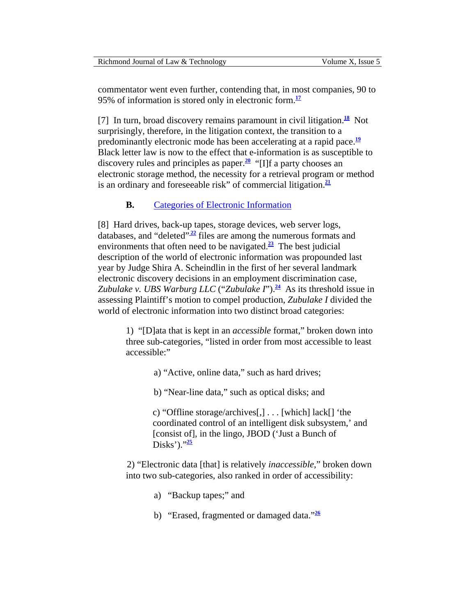<span id="page-3-0"></span>commentator went even further, contending that, in most companies, 90 to 95% of information is stored only in electronic form.**[17](#page-22-0)**

[7] In turn, broad discovery remains paramount in civil litigation.<sup>[18](#page-22-0)</sup> Not surprisingly, therefore, in the litigation context, the transition to a predominantly electronic mode has been accelerating at a rapid pace.**[19](#page-22-0)** Black letter law is now to the effect that e-information is as susceptible to discovery rules and principles as paper.**[20](#page-23-0)** "[I]f a party chooses an electronic storage method, the necessity for a retrieval program or method is an ordinary and foreseeable risk" of commercial litigation.**[21](#page-23-0)**

### **B.** [Categories of Electronic Information](#page-0-0)

[8] Hard drives, back-up tapes, storage devices, web server logs, databases, and "deleted" $\frac{22}{2}$  files are among the numerous formats and environments that often need to be navigated. $\frac{23}{12}$  $\frac{23}{12}$  $\frac{23}{12}$  The best judicial description of the world of electronic information was propounded last year by Judge Shira A. Scheindlin in the first of her several landmark electronic discovery decisions in an employment discrimination case, *Zubulake v. UBS Warburg LLC* ("*Zubulake I*").<sup>[24](#page-23-0)</sup> As its threshold issue in assessing Plaintiff's motion to compel production, *Zubulake I* divided the world of electronic information into two distinct broad categories:

> 1) "[D]ata that is kept in an *accessible* format," broken down into three sub-categories, "listed in order from most accessible to least accessible:"

- a) "Active, online data," such as hard drives;
- b) "Near-line data," such as optical disks; and

c) "Offline storage/archives[,] . . . [which] lack[] 'the coordinated control of an intelligent disk subsystem,' and [consist of], in the lingo, JBOD ('Just a Bunch of Disks')."<sup>[25](#page-24-0)</sup>

2) "Electronic data [that] is relatively *inaccessible*," broken down into two sub-categories, also ranked in order of accessibility:

- a) "Backup tapes;" and
- b) "Erased, fragmented or damaged data."**[26](#page-24-0)**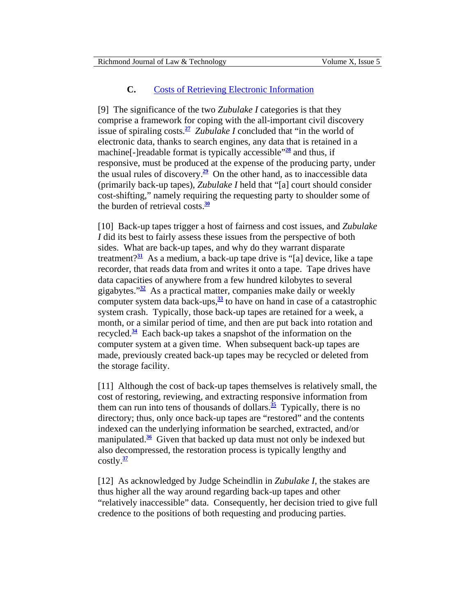### **C.** [Costs of Retrieving Electronic Information](#page-0-0)

<span id="page-4-0"></span>[9] The significance of the two *Zubulake I* categories is that they comprise a framework for coping with the all-important civil discovery issue of spiraling costs.<sup>[27](#page-24-0)</sup> *Zubulake I* concluded that "in the world of electronic data, thanks to search engines, any data that is retained in a machine<sup>[-</sup>]readable format is typically accessible<sup>"[28](#page-24-0)</sup> and thus, if responsive, must be produced at the expense of the producing party, under the usual rules of discovery.<sup>[29](#page-24-0)</sup> On the other hand, as to inaccessible data (primarily back-up tapes), *Zubulake I* held that "[a] court should consider cost-shifting," namely requiring the requesting party to shoulder some of the burden of retrieval costs.**[30](#page-24-0)**

[10] Back-up tapes trigger a host of fairness and cost issues, and *Zubulake I* did its best to fairly assess these issues from the perspective of both sides. What are back-up tapes, and why do they warrant disparate treatment?**[31](#page-24-0)** As a medium, a back-up tape drive is "[a] device, like a tape recorder, that reads data from and writes it onto a tape. Tape drives have data capacities of anywhere from a few hundred kilobytes to several gigabytes."**[32](#page-24-0)** As a practical matter, companies make daily or weekly computer system data back-ups, $\frac{33}{2}$  $\frac{33}{2}$  $\frac{33}{2}$  to have on hand in case of a catastrophic system crash. Typically, those back-up tapes are retained for a week, a month, or a similar period of time, and then are put back into rotation and recycled.**[34](#page-24-0)** Each back-up takes a snapshot of the information on the computer system at a given time. When subsequent back-up tapes are made, previously created back-up tapes may be recycled or deleted from the storage facility.

[11] Although the cost of back-up tapes themselves is relatively small, the cost of restoring, reviewing, and extracting responsive information from them can run into tens of thousands of dollars.<sup>[35](#page-24-0)</sup> Typically, there is no directory; thus, only once back-up tapes are "restored" and the contents indexed can the underlying information be searched, extracted, and/or manipulated.**[36](#page-24-0)** Given that backed up data must not only be indexed but also decompressed, the restoration process is typically lengthy and costly.**[37](#page-25-0)**

[12] As acknowledged by Judge Scheindlin in *Zubulake I*, the stakes are thus higher all the way around regarding back-up tapes and other "relatively inaccessible" data. Consequently, her decision tried to give full credence to the positions of both requesting and producing parties.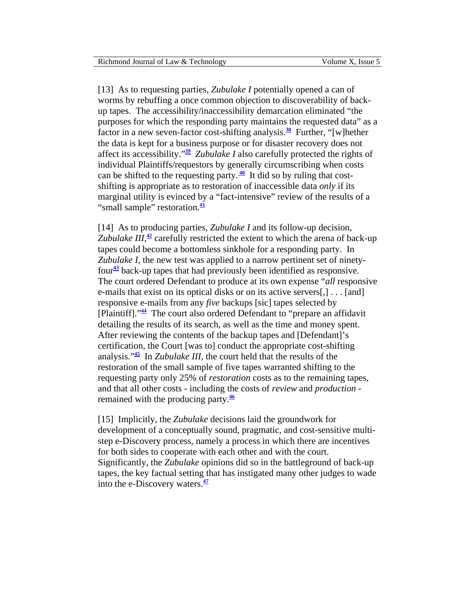<span id="page-5-0"></span>[13] As to requesting parties, *Zubulake I* potentially opened a can of worms by rebuffing a once common objection to discoverability of backup tapes. The accessibility/inaccessibility demarcation eliminated "the purposes for which the responding party maintains the requested data" as a factor in a new seven-factor cost-shifting analysis.**[38](#page-25-0)** Further, "[w]hether the data is kept for a business purpose or for disaster recovery does not affect its accessibility."**[39](#page-25-0)** *Zubulake I* also carefully protected the rights of individual Plaintiffs/requestors by generally circumscribing when costs can be shifted to the requesting party. $\frac{40}{1}$  It did so by ruling that costshifting is appropriate as to restoration of inaccessible data *only* if its marginal utility is evinced by a "fact-intensive" review of the results of a "small sample" restoration.**[41](#page-26-0)**

[14] As to producing parties, *Zubulake I* and its follow-up decision, Zubulake  $III$ ,  $\frac{42}{7}$  $\frac{42}{7}$  $\frac{42}{7}$  carefully restricted the extent to which the arena of back-up tapes could become a bottomless sinkhole for a responding party. In *Zubulake I*, the new test was applied to a narrow pertinent set of ninetyfour**[43](#page-26-0)** back-up tapes that had previously been identified as responsive. The court ordered Defendant to produce at its own expense "*all* responsive e-mails that exist on its optical disks or on its active servers[,] . . . [and] responsive e-mails from any *five* backups [sic] tapes selected by [Plaintiff]."**[44](#page-26-0)** The court also ordered Defendant to "prepare an affidavit detailing the results of its search, as well as the time and money spent. After reviewing the contents of the backup tapes and [Defendant]'s certification, the Court [was to] conduct the appropriate cost-shifting analysis."**[45](#page-26-0)** In *Zubulake III*, the court held that the results of the restoration of the small sample of five tapes warranted shifting to the requesting party only 25% of *restoration* costs as to the remaining tapes, and that all other costs - including the costs of *review* and *production* remained with the producing party.**[46](#page-26-0)**

[15] Implicitly, the *Zubulake* decisions laid the groundwork for development of a conceptually sound, pragmatic, and cost-sensitive multistep e-Discovery process, namely a process in which there are incentives for both sides to cooperate with each other and with the court. Significantly, the *Zubulake* opinions did so in the battleground of back-up tapes, the key factual setting that has instigated many other judges to wade into the e-Discovery waters.**[47](#page-26-0)**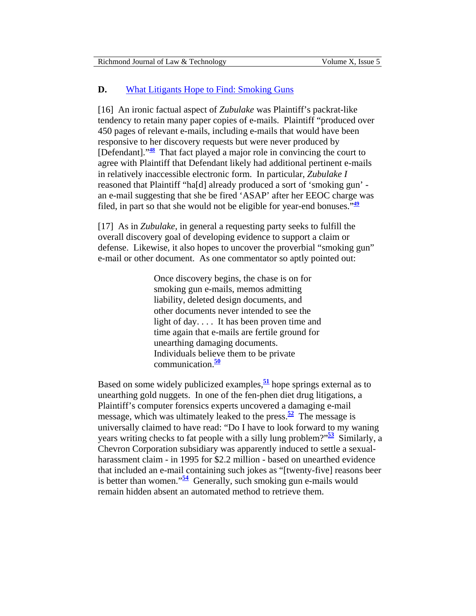# <span id="page-6-0"></span>**D.** [What Litigants Hope to Find: Smoking Guns](#page-0-0)

[16] An ironic factual aspect of *Zubulake* was Plaintiff's packrat-like tendency to retain many paper copies of e-mails. Plaintiff "produced over 450 pages of relevant e-mails, including e-mails that would have been responsive to her discovery requests but were never produced by [Defendant]."**[48](#page-26-0)** That fact played a major role in convincing the court to agree with Plaintiff that Defendant likely had additional pertinent e-mails in relatively inaccessible electronic form. In particular, *Zubulake I* reasoned that Plaintiff "ha[d] already produced a sort of 'smoking gun' an e-mail suggesting that she be fired 'ASAP' after her EEOC charge was filed, in part so that she would not be eligible for year-end bonuses."**[49](#page-26-0)**

[17] As in *Zubulake*, in general a requesting party seeks to fulfill the overall discovery goal of developing evidence to support a claim or defense. Likewise, it also hopes to uncover the proverbial "smoking gun" e-mail or other document. As one commentator so aptly pointed out:

> Once discovery begins, the chase is on for smoking gun e-mails, memos admitting liability, deleted design documents, and other documents never intended to see the light of day. . . . It has been proven time and time again that e-mails are fertile ground for unearthing damaging documents. Individuals believe them to be private communication.**[50](#page-26-0)**

Based on some widely publicized examples,**[51](#page-26-0)** hope springs external as to unearthing gold nuggets. In one of the fen-phen diet drug litigations, a Plaintiff's computer forensics experts uncovered a damaging e-mail message, which was ultimately leaked to the press. $\frac{52}{2}$  $\frac{52}{2}$  $\frac{52}{2}$  The message is universally claimed to have read: "Do I have to look forward to my waning years writing checks to fat people with a silly lung problem?"**[53](#page-26-0)** Similarly, a Chevron Corporation subsidiary was apparently induced to settle a sexualharassment claim - in 1995 for \$2.2 million - based on unearthed evidence that included an e-mail containing such jokes as "[twenty-five] reasons beer is better than women." $\frac{54}{5}$  $\frac{54}{5}$  $\frac{54}{5}$  Generally, such smoking gun e-mails would remain hidden absent an automated method to retrieve them.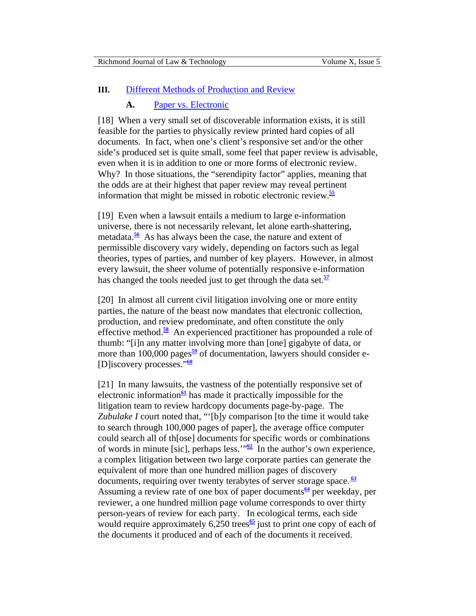### <span id="page-7-0"></span>**III.** [Different Methods of Production and Review](#page-0-0)

#### **A.** [Paper vs. Electronic](#page-0-0)

[18] When a very small set of discoverable information exists, it is still feasible for the parties to physically review printed hard copies of all documents. In fact, when one's client's responsive set and/or the other side's produced set is quite small, some feel that paper review is advisable, even when it is in addition to one or more forms of electronic review. Why? In those situations, the "serendipity factor" applies, meaning that the odds are at their highest that paper review may reveal pertinent information that might be missed in robotic electronic review.**[55](#page-27-0)**

[19] Even when a lawsuit entails a medium to large e-information universe, there is not necessarily relevant, let alone earth-shattering, metadata.**[56](#page-27-0)** As has always been the case, the nature and extent of permissible discovery vary widely, depending on factors such as legal theories, types of parties, and number of key players. However, in almost every lawsuit, the sheer volume of potentially responsive e-information has changed the tools needed just to get through the data set.**[57](#page-27-0)**

[20] In almost all current civil litigation involving one or more entity parties, the nature of the beast now mandates that electronic collection, production, and review predominate, and often constitute the only effective method.**[58](#page-27-0)** An experienced practitioner has propounded a rule of thumb: "[i]n any matter involving more than [one] gigabyte of data, or more than 100,000 pages<sup>[59](#page-27-0)</sup> of documentation, lawyers should consider e-[D]iscovery processes."**[60](#page-27-0)**

[21] In many lawsuits, the vastness of the potentially responsive set of electronic information<sup> $61$ </sup> has made it practically impossible for the litigation team to review hardcopy documents page-by-page. The *Zubulake I* court noted that, "'[b]y comparison [to the time it would take to search through 100,000 pages of paper], the average office computer could search all of th[ose] documents for specific words or combinations of words in minute [sic], perhaps less.<sup> $m_{\Omega}$ </sup> In the author's own experience, a complex litigation between two large corporate parties can generate the equivalent of more than one hundred million pages of discovery documents, requiring over twenty terabytes of server storage space. **[63](#page-27-0)** Assuming a review rate of one box of paper documents<sup>[64](#page-28-0)</sup> per weekday, per reviewer, a one hundred million page volume corresponds to over thirty person-years of review for each party. In ecological terms, each side would require approximately 6,250 trees<sup>[65](#page-28-0)</sup> just to print one copy of each of the documents it produced and of each of the documents it received.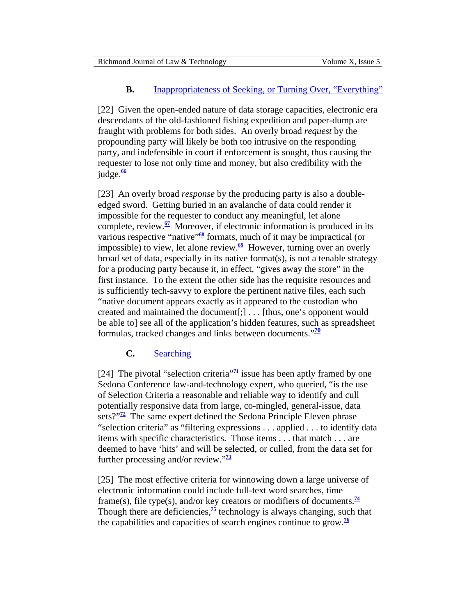# **B.** [Inappropriateness of Seeking, or Turning Over, "Everything"](#page-0-0)

<span id="page-8-0"></span>[22] Given the open-ended nature of data storage capacities, electronic era descendants of the old-fashioned fishing expedition and paper-dump are fraught with problems for both sides. An overly broad *request* by the propounding party will likely be both too intrusive on the responding party, and indefensible in court if enforcement is sought, thus causing the requester to lose not only time and money, but also credibility with the judge.**[66](#page-28-0)**

[23] An overly broad *response* by the producing party is also a doubleedged sword. Getting buried in an avalanche of data could render it impossible for the requester to conduct any meaningful, let alone complete, review.**[67](#page-28-0)** Moreover, if electronic information is produced in its various respective "native"<sup>[68](#page-28-0)</sup> formats, much of it may be impractical (or impossible) to view, let alone review.<sup>[69](#page-28-0)</sup> However, turning over an overly broad set of data, especially in its native format(s), is not a tenable strategy for a producing party because it, in effect, "gives away the store" in the first instance. To the extent the other side has the requisite resources and is sufficiently tech-savvy to explore the pertinent native files, each such "native document appears exactly as it appeared to the custodian who created and maintained the document[;] . . . [thus, one's opponent would be able to] see all of the application's hidden features, such as spreadsheet formulas, tracked changes and links between documents."**[70](#page-28-0)**

# **C.** [Searching](#page-0-0)

[24] The pivotal "selection criteria"<sup> $7\frac{1}{2}$ </sup> issue has been aptly framed by one Sedona Conference law-and-technology expert, who queried, "is the use of Selection Criteria a reasonable and reliable way to identify and cull potentially responsive data from large, co-mingled, general-issue, data sets?"**[72](#page-28-0)** The same expert defined the Sedona Principle Eleven phrase "selection criteria" as "filtering expressions . . . applied . . . to identify data items with specific characteristics. Those items . . . that match . . . are deemed to have 'hits' and will be selected, or culled, from the data set for further processing and/or review."**[73](#page-28-0)**

[25] The most effective criteria for winnowing down a large universe of electronic information could include full-text word searches, time frame(s), file type(s), and/or key creators or modifiers of documents.<sup>[74](#page-28-0)</sup> Though there are deficiencies, $\frac{75}{2}$  $\frac{75}{2}$  $\frac{75}{2}$  technology is always changing, such that the capabilities and capacities of search engines continue to grow.**[76](#page-29-0)**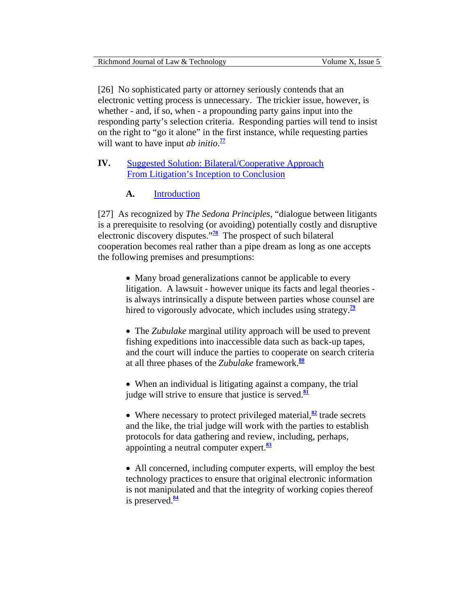<span id="page-9-0"></span>

| Richmond Journal of Law & Technology | Volume X. Issue 5 |
|--------------------------------------|-------------------|
|                                      |                   |

[26] No sophisticated party or attorney seriously contends that an electronic vetting process is unnecessary. The trickier issue, however, is whether - and, if so, when - a propounding party gains input into the responding party's selection criteria. Responding parties will tend to insist on the right to "go it alone" in the first instance, while requesting parties will want to have input *ab initio*.<sup>[77](#page-29-0)</sup>

# **IV.** [Suggested Solution: Bilateral/Cooperative Approach](#page-0-0) From Litigation's Inception to Conclusion

# **A.** [Introduction](#page-0-0)

[27] As recognized by *The Sedona Principles*, "dialogue between litigants is a prerequisite to resolving (or avoiding) potentially costly and disruptive electronic discovery disputes."**[78](#page-29-0)** The prospect of such bilateral cooperation becomes real rather than a pipe dream as long as one accepts the following premises and presumptions:

> • Many broad generalizations cannot be applicable to every litigation. A lawsuit - however unique its facts and legal theories is always intrinsically a dispute between parties whose counsel are hired to vigorously advocate, which includes using strategy.**[79](#page-29-0)**

> • The *Zubulake* marginal utility approach will be used to prevent fishing expeditions into inaccessible data such as back-up tapes, and the court will induce the parties to cooperate on search criteria at all three phases of the *Zubulake* framework.**[80](#page-29-0)**

• When an individual is litigating against a company, the trial judge will strive to ensure that justice is served.**[81](#page-29-0)**

• Where necessary to protect privileged material,<sup>[82](#page-29-0)</sup> trade secrets and the like, the trial judge will work with the parties to establish protocols for data gathering and review, including, perhaps, appointing a neutral computer expert.**[83](#page-29-0)**

• All concerned, including computer experts, will employ the best technology practices to ensure that original electronic information is not manipulated and that the integrity of working copies thereof is preserved.**[84](#page-30-0)**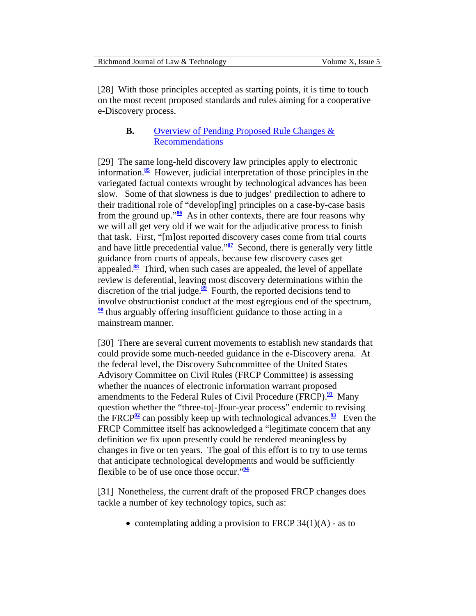<span id="page-10-0"></span>[28] With those principles accepted as starting points, it is time to touch on the most recent proposed standards and rules aiming for a cooperative e-Discovery process.

# **B.** [Overview of Pending Proposed Rule Changes &](#page-0-0)  Recommendations

[29] The same long-held discovery law principles apply to electronic information.**[85](#page-30-0)** However, judicial interpretation of those principles in the variegated factual contexts wrought by technological advances has been slow. Some of that slowness is due to judges' predilection to adhere to their traditional role of "develop[ing] principles on a case-by-case basis from the ground up."**[86](#page-30-0)** As in other contexts, there are four reasons why we will all get very old if we wait for the adjudicative process to finish that task. First, "[m]ost reported discovery cases come from trial courts and have little precedential value."**[87](#page-30-0)** Second, there is generally very little guidance from courts of appeals, because few discovery cases get appealed.**[88](#page-30-0)** Third, when such cases are appealed, the level of appellate review is deferential, leaving most discovery determinations within the discretion of the trial judge.<sup>[89](#page-30-0)</sup> Fourth, the reported decisions tend to involve obstructionist conduct at the most egregious end of the spectrum, **[90](#page-30-0)** thus arguably offering insufficient guidance to those acting in a mainstream manner.

[30] There are several current movements to establish new standards that could provide some much-needed guidance in the e-Discovery arena. At the federal level, the Discovery Subcommittee of the United States Advisory Committee on Civil Rules (FRCP Committee) is assessing whether the nuances of electronic information warrant proposed amendments to the Federal Rules of Civil Procedure (FRCP).**[91](#page-30-0)** Many question whether the "three-to[-]four-year process" endemic to revising the FRCP<sup>[92](#page-30-0)</sup> can possibly keep up with technological advances.<sup>[93](#page-30-0)</sup> Even the FRCP Committee itself has acknowledged a "legitimate concern that any definition we fix upon presently could be rendered meaningless by changes in five or ten years. The goal of this effort is to try to use terms that anticipate technological developments and would be sufficiently flexible to be of use once those occur."**[94](#page-30-0)**

[31] Nonetheless, the current draft of the proposed FRCP changes does tackle a number of key technology topics, such as:

• contemplating adding a provision to FRCP  $34(1)(A)$  - as to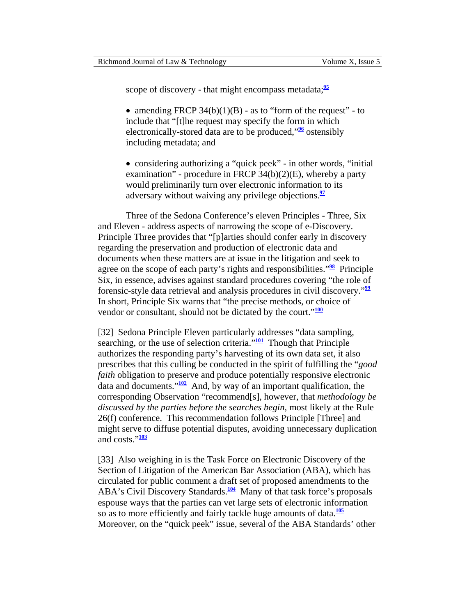<span id="page-11-0"></span>scope of discovery - that might encompass metadata;<sup>[95](#page-30-0)</sup>

• amending FRCP  $34(b)(1)(B)$  - as to "form of the request" - to include that "[t]he request may specify the form in which electronically-stored data are to be produced,"**[96](#page-30-0)** ostensibly including metadata; and

• considering authorizing a "quick peek" - in other words, "initial examination" - procedure in FRCP  $34(b)(2)(E)$ , whereby a party would preliminarily turn over electronic information to its adversary without waiving any privilege objections.**[97](#page-30-0)**

Three of the Sedona Conference's eleven Principles - Three, Six and Eleven - address aspects of narrowing the scope of e-Discovery. Principle Three provides that "[p]arties should confer early in discovery regarding the preservation and production of electronic data and documents when these matters are at issue in the litigation and seek to agree on the scope of each party's rights and responsibilities."**[98](#page-30-0)** Principle Six, in essence, advises against standard procedures covering "the role of forensic-style data retrieval and analysis procedures in civil discovery."**[99](#page-31-0)** In short, Principle Six warns that "the precise methods, or choice of vendor or consultant, should not be dictated by the court."**[100](#page-31-0)**

[32] Sedona Principle Eleven particularly addresses "data sampling, searching, or the use of selection criteria."**[101](#page-31-0)** Though that Principle authorizes the responding party's harvesting of its own data set, it also prescribes that this culling be conducted in the spirit of fulfilling the "*good faith* obligation to preserve and produce potentially responsive electronic data and documents."**[102](#page-31-0)** And, by way of an important qualification, the corresponding Observation "recommend[s], however, that *methodology be discussed by the parties before the searches begin*, most likely at the Rule 26(f) conference. This recommendation follows Principle [Three] and might serve to diffuse potential disputes, avoiding unnecessary duplication and costs."**[103](#page-31-0)**

[33] Also weighing in is the Task Force on Electronic Discovery of the Section of Litigation of the American Bar Association (ABA), which has circulated for public comment a draft set of proposed amendments to the ABA's Civil Discovery Standards.<sup>[104](#page-31-0)</sup> Many of that task force's proposals espouse ways that the parties can vet large sets of electronic information so as to more efficiently and fairly tackle huge amounts of data.**[105](#page-31-0)** Moreover, on the "quick peek" issue, several of the ABA Standards' other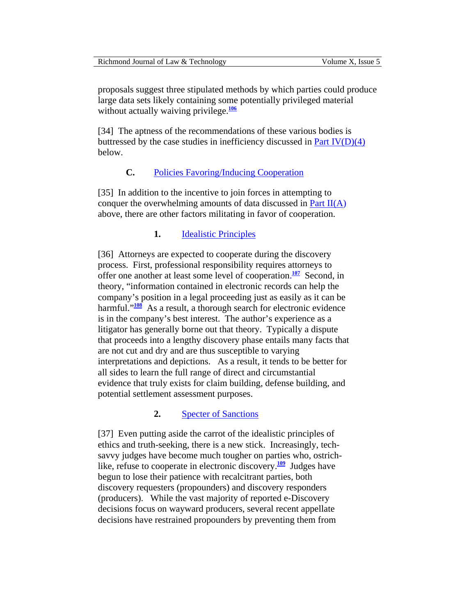<span id="page-12-0"></span>

| Richmond Journal of Law & Technology | Volume X. Issue 5 |
|--------------------------------------|-------------------|
|--------------------------------------|-------------------|

proposals suggest three stipulated methods by which parties could produce large data sets likely containing some potentially privileged material without actually waiving privilege.<sup>[106](#page-31-0)</sup>

[34] The aptness of the recommendations of these various bodies is buttressed by the case studies in inefficiency discussed in Part  $IV(D)(4)$  $IV(D)(4)$ below.

# **C.** [Policies Favoring/Inducing Cooperation](#page-0-0)

[35] In addition to the incentive to join forces in attempting to conquer the overwhelming amounts of data discussed in [Part](#page-2-0) II(A) above, there are other factors militating in favor of cooperation.

### **1.** [Idealistic Principles](#page-0-0)

[36] Attorneys are expected to cooperate during the discovery process. First, professional responsibility requires attorneys to offer one another at least some level of cooperation.<sup>[107](#page-31-0)</sup> Second, in theory, "information contained in electronic records can help the company's position in a legal proceeding just as easily as it can be harmful."<sup>[108](#page-31-0)</sup> As a result, a thorough search for electronic evidence is in the company's best interest. The author's experience as a litigator has generally borne out that theory. Typically a dispute that proceeds into a lengthy discovery phase entails many facts that are not cut and dry and are thus susceptible to varying interpretations and depictions. As a result, it tends to be better for all sides to learn the full range of direct and circumstantial evidence that truly exists for claim building, defense building, and potential settlement assessment purposes.

### **2.** [Specter of Sanctions](#page-0-0)

[37] Even putting aside the carrot of the idealistic principles of ethics and truth-seeking, there is a new stick. Increasingly, techsavvy judges have become much tougher on parties who, ostrichlike, refuse to cooperate in electronic discovery.**[109](#page-31-0)** Judges have begun to lose their patience with recalcitrant parties, both discovery requesters (propounders) and discovery responders (producers). While the vast majority of reported e-Discovery decisions focus on wayward producers, several recent appellate decisions have restrained propounders by preventing them from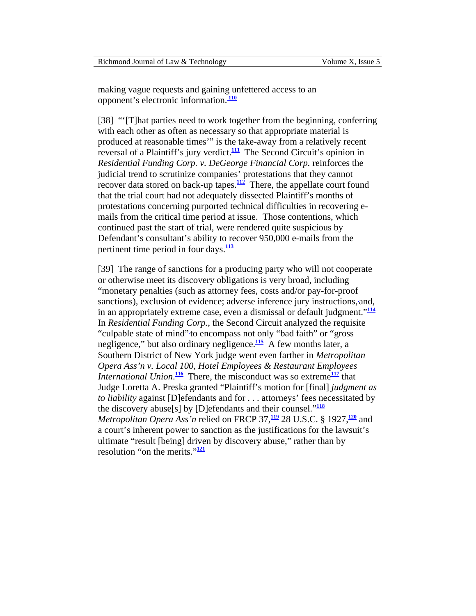<span id="page-13-0"></span>making vague requests and gaining unfettered access to an opponent's electronic information. **[110](#page-31-0)**

[38] "'[T]hat parties need to work together from the beginning, conferring with each other as often as necessary so that appropriate material is produced at reasonable times'" is the take-away from a relatively recent reversal of a Plaintiff's jury verdict.**[111](#page-32-0)** The Second Circuit's opinion in *Residential Funding Corp. v. DeGeorge Financial Corp.* reinforces the judicial trend to scrutinize companies' protestations that they cannot recover data stored on back-up tapes. $\frac{112}{2}$  $\frac{112}{2}$  $\frac{112}{2}$  There, the appellate court found that the trial court had not adequately dissected Plaintiff's months of protestations concerning purported technical difficulties in recovering emails from the critical time period at issue. Those contentions, which continued past the start of trial, were rendered quite suspicious by Defendant's consultant's ability to recover 950,000 e-mails from the pertinent time period in four days.**[113](#page-32-0)**

[39] The range of sanctions for a producing party who will not cooperate or otherwise meet its discovery obligations is very broad, including "monetary penalties (such as attorney fees, costs and/or pay-for-proof sanctions), exclusion of evidence; adverse inference jury instructions, and, in an appropriately extreme case, even a dismissal or default judgment."**[114](#page-32-0)** In *Residential Funding Corp.*, the Second Circuit analyzed the requisite "culpable state of mind" to encompass not only "bad faith" or "gross negligence," but also ordinary negligence.**[115](#page-32-0)** A few months later, a Southern District of New York judge went even farther in *Metropolitan Opera Ass'n v. Local 100, Hotel Employees & Restaurant Employees International Union*.<sup>[116](#page-32-0)</sup> There, the misconduct was so extreme<sup>[117](#page-32-0)</sup> that Judge Loretta A. Preska granted "Plaintiff's motion for [final] *judgment as to liability* against [D]efendants and for . . . attorneys' fees necessitated by the discovery abuse[s] by [D]efendants and their counsel."**[118](#page-32-0)** *Metropolitan Opera Ass'n* relied on FRCP 37,**[119](#page-32-0)** 28 U.S.C. § 1927,**[120](#page-32-0)** and a court's inherent power to sanction as the justifications for the lawsuit's ultimate "result [being] driven by discovery abuse," rather than by resolution "on the merits."**[121](#page-32-0)**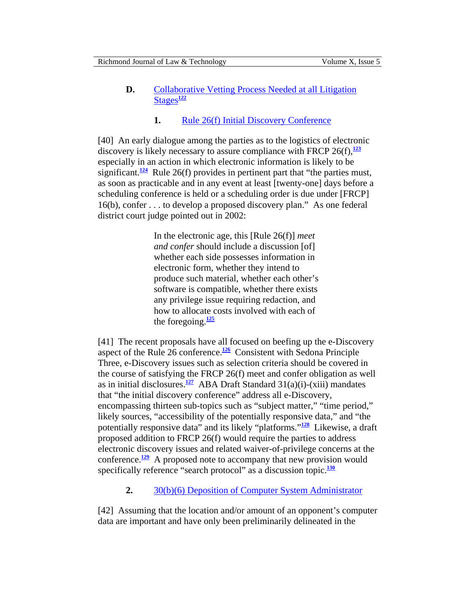# <span id="page-14-0"></span>**D.** Collaborative Vetting Process Needed at all Litigation [Stages](#page-0-0)**[122](#page-32-0)**

# **1.** [Rule 26\(f\) Initial Discovery Conference](#page-0-0)

[40] An early dialogue among the parties as to the logistics of electronic discovery is likely necessary to assure compliance with FRCP  $26(f)$ ,  $\frac{123}{2}$  $\frac{123}{2}$  $\frac{123}{2}$ especially in an action in which electronic information is likely to be significant.<sup>[124](#page-32-0)</sup> Rule 26(f) provides in pertinent part that "the parties must, as soon as practicable and in any event at least [twenty-one] days before a scheduling conference is held or a scheduling order is due under [FRCP] 16(b), confer . . . to develop a proposed discovery plan." As one federal district court judge pointed out in 2002:

> In the electronic age, this [Rule 26(f)] *meet and confer* should include a discussion [of] whether each side possesses information in electronic form, whether they intend to produce such material, whether each other's software is compatible, whether there exists any privilege issue requiring redaction, and how to allocate costs involved with each of the foregoing.**[125](#page-32-0)**

[41] The recent proposals have all focused on beefing up the e-Discovery aspect of the Rule 26 conference.<sup>[126](#page-32-0)</sup> Consistent with Sedona Principle Three, e-Discovery issues such as selection criteria should be covered in the course of satisfying the FRCP 26(f) meet and confer obligation as well as in initial disclosures.<sup>[127](#page-32-0)</sup> ABA Draft Standard  $31(a)(i)$ -(xiii) mandates that "the initial discovery conference" address all e-Discovery, encompassing thirteen sub-topics such as "subject matter," "time period," likely sources, "accessibility of the potentially responsive data," and "the potentially responsive data" and its likely "platforms."**[128](#page-32-0)** Likewise, a draft proposed addition to FRCP 26(f) would require the parties to address electronic discovery issues and related waiver-of-privilege concerns at the conference.**[129](#page-33-0)** A proposed note to accompany that new provision would specifically reference "search protocol" as a discussion topic.<sup>[130](#page-33-0)</sup>

**2.** [30\(b\)\(6\) Deposition of Computer System Administrator](#page-0-0) 

[42] Assuming that the location and/or amount of an opponent's computer data are important and have only been preliminarily delineated in the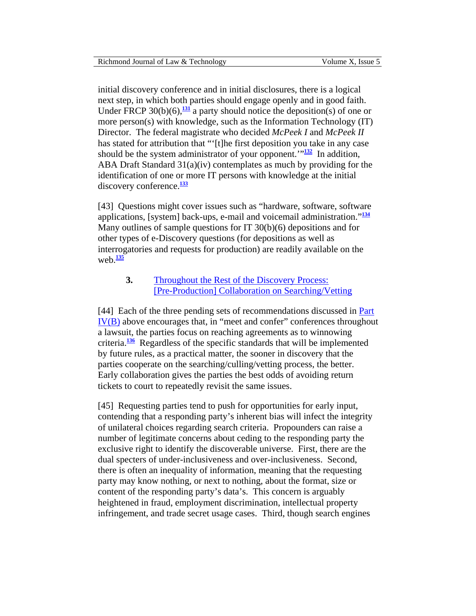<span id="page-15-0"></span>initial discovery conference and in initial disclosures, there is a logical next step, in which both parties should engage openly and in good faith. Under FRCP  $30(b)(6)$ ,  $\frac{131}{2}$  $\frac{131}{2}$  $\frac{131}{2}$  a party should notice the deposition(s) of one or more person(s) with knowledge, such as the Information Technology (IT) Director. The federal magistrate who decided *McPeek I* and *McPeek II* has stated for attribution that "'[t]he first deposition you take in any case should be the system administrator of your opponent.'"**[132](#page-33-0)** In addition, ABA Draft Standard 31(a)(iv) contemplates as much by providing for the identification of one or more IT persons with knowledge at the initial discovery conference.**[133](#page-33-0)**

[43] Questions might cover issues such as "hardware, software, software applications, [system] back-ups, e-mail and voicemail administration."**[134](#page-33-0)** Many outlines of sample questions for IT 30(b)(6) depositions and for other types of e-Discovery questions (for depositions as well as interrogatories and requests for production) are readily available on the web. $\frac{135}{1}$  $\frac{135}{1}$  $\frac{135}{1}$ 

### **3.** Throughout the Rest of the Discovery Process: [\[Pre-Production\] Collaboration on Searching/Vetting](#page-0-0)

[44] Each of the three pending sets of recommendations discussed in Part IV[\(B\)](#page-10-0) above encourages that, in "meet and confer" conferences throughout a lawsuit, the parties focus on reaching agreements as to winnowing criteria.**[136](#page-33-0)** Regardless of the specific standards that will be implemented by future rules, as a practical matter, the sooner in discovery that the parties cooperate on the searching/culling/vetting process, the better. Early collaboration gives the parties the best odds of avoiding return tickets to court to repeatedly revisit the same issues.

[45] Requesting parties tend to push for opportunities for early input, contending that a responding party's inherent bias will infect the integrity of unilateral choices regarding search criteria. Propounders can raise a number of legitimate concerns about ceding to the responding party the exclusive right to identify the discoverable universe. First, there are the dual specters of under-inclusiveness and over-inclusiveness. Second, there is often an inequality of information, meaning that the requesting party may know nothing, or next to nothing, about the format, size or content of the responding party's data's. This concern is arguably heightened in fraud, employment discrimination, intellectual property infringement, and trade secret usage cases. Third, though search engines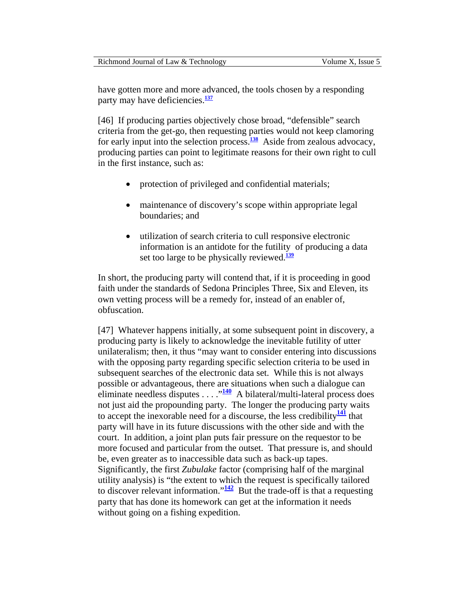<span id="page-16-0"></span>have gotten more and more advanced, the tools chosen by a responding party may have deficiencies.**[137](#page-33-0)**

[46] If producing parties objectively chose broad, "defensible" search criteria from the get-go, then requesting parties would not keep clamoring for early input into the selection process.**[138](#page-33-0)** Aside from zealous advocacy, producing parties can point to legitimate reasons for their own right to cull in the first instance, such as:

- protection of privileged and confidential materials;
- maintenance of discovery's scope within appropriate legal boundaries; and
- utilization of search criteria to cull responsive electronic information is an antidote for the futility of producing a data set too large to be physically reviewed.**[139](#page-33-0)**

In short, the producing party will contend that, if it is proceeding in good faith under the standards of Sedona Principles Three, Six and Eleven, its own vetting process will be a remedy for, instead of an enabler of, obfuscation.

[47] Whatever happens initially, at some subsequent point in discovery, a producing party is likely to acknowledge the inevitable futility of utter unilateralism; then, it thus "may want to consider entering into discussions with the opposing party regarding specific selection criteria to be used in subsequent searches of the electronic data set. While this is not always possible or advantageous, there are situations when such a dialogue can eliminate needless disputes . . . . . <sup>[140](#page-33-0)</sup> A bilateral/multi-lateral process does not just aid the propounding party. The longer the producing party waits to accept the inexorable need for a discourse, the less credibility**[141](#page-33-0)** that party will have in its future discussions with the other side and with the court. In addition, a joint plan puts fair pressure on the requestor to be more focused and particular from the outset. That pressure is, and should be, even greater as to inaccessible data such as back-up tapes. Significantly, the first *Zubulake* factor (comprising half of the marginal utility analysis) is "the extent to which the request is specifically tailored to discover relevant information." $\frac{142}{12}$  $\frac{142}{12}$  $\frac{142}{12}$  But the trade-off is that a requesting party that has done its homework can get at the information it needs without going on a fishing expedition.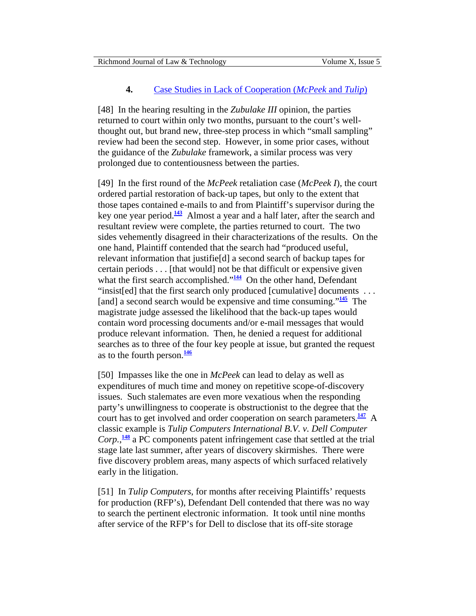### **4.** [Case Studies in Lack of Cooperation \(](#page-0-0)*McPeek* and *Tulip*)

<span id="page-17-0"></span>[48] In the hearing resulting in the *Zubulake III* opinion, the parties returned to court within only two months, pursuant to the court's wellthought out, but brand new, three-step process in which "small sampling" review had been the second step. However, in some prior cases, without the guidance of the *Zubulake* framework, a similar process was very prolonged due to contentiousness between the parties.

[49] In the first round of the *McPeek* retaliation case (*McPeek I*), the court ordered partial restoration of back-up tapes, but only to the extent that those tapes contained e-mails to and from Plaintiff's supervisor during the key one year period.**[143](#page-33-0)** Almost a year and a half later, after the search and resultant review were complete, the parties returned to court. The two sides vehemently disagreed in their characterizations of the results. On the one hand, Plaintiff contended that the search had "produced useful, relevant information that justifie[d] a second search of backup tapes for certain periods . . . [that would] not be that difficult or expensive given what the first search accomplished."<sup>[144](#page-33-0)</sup> On the other hand, Defendant "insist[ed] that the first search only produced [cumulative] documents . . . [and] a second search would be expensive and time consuming."**[145](#page-33-0)** The magistrate judge assessed the likelihood that the back-up tapes would contain word processing documents and/or e-mail messages that would produce relevant information. Then, he denied a request for additional searches as to three of the four key people at issue, but granted the request as to the fourth person.**[146](#page-33-0)**

[50] Impasses like the one in *McPeek* can lead to delay as well as expenditures of much time and money on repetitive scope-of-discovery issues. Such stalemates are even more vexatious when the responding party's unwillingness to cooperate is obstructionist to the degree that the court has to get involved and order cooperation on search parameters.**[147](#page-33-0)** A classic example is *Tulip Computers International B.V. v. Dell Computer Corp.*, **[148](#page-33-0)** a PC components patent infringement case that settled at the trial stage late last summer, after years of discovery skirmishes. There were five discovery problem areas, many aspects of which surfaced relatively early in the litigation.

[51] In *Tulip Computers*, for months after receiving Plaintiffs' requests for production (RFP's), Defendant Dell contended that there was no way to search the pertinent electronic information. It took until nine months after service of the RFP's for Dell to disclose that its off-site storage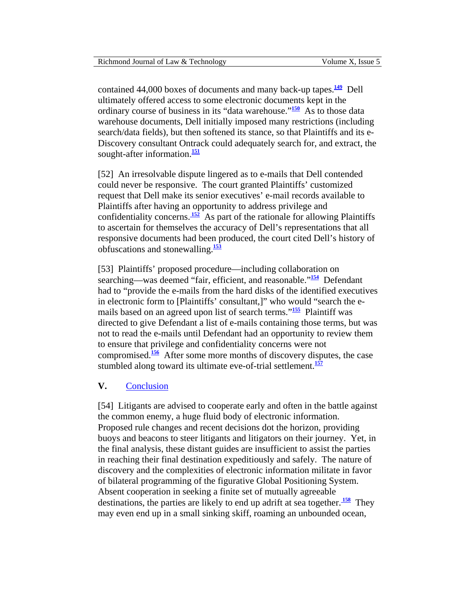<span id="page-18-0"></span>contained 44,000 boxes of documents and many back-up tapes.**[149](#page-34-0)** Dell ultimately offered access to some electronic documents kept in the ordinary course of business in its "data warehouse."**[150](#page-34-1)** As to those data warehouse documents, Dell initially imposed many restrictions (including search/data fields), but then softened its stance, so that Plaintiffs and its e-Discovery consultant Ontrack could adequately search for, and extract, the sought-after information.**[151](#page-34-1)**

[52] An irresolvable dispute lingered as to e-mails that Dell contended could never be responsive. The court granted Plaintiffs' customized request that Dell make its senior executives' e-mail records available to Plaintiffs after having an opportunity to address privilege and confidentiality concerns.<sup>152</sup> As part of the rationale for allowing Plaintiffs to ascertain for themselves the accuracy of Dell's representations that all responsive documents had been produced, the court cited Dell's history of obfuscations and stonewalling.**[153](#page-34-1)**

[53] Plaintiffs' proposed procedure—including collaboration on searching—was deemed "fair, efficient, and reasonable."**[154](#page-34-1)** Defendant had to "provide the e-mails from the hard disks of the identified executives in electronic form to [Plaintiffs' consultant,]" who would "search the emails based on an agreed upon list of search terms."**[155](#page-34-1)** Plaintiff was directed to give Defendant a list of e-mails containing those terms, but was not to read the e-mails until Defendant had an opportunity to review them to ensure that privilege and confidentiality concerns were not compromised.**[156](#page-34-1)** After some more months of discovery disputes, the case stumbled along toward its ultimate eve-of-trial settlement.**[157](#page-34-1)**

### **V.** [Conclusion](#page-0-0)

[54] Litigants are advised to cooperate early and often in the battle against the common enemy, a huge fluid body of electronic information. Proposed rule changes and recent decisions dot the horizon, providing buoys and beacons to steer litigants and litigators on their journey. Yet, in the final analysis, these distant guides are insufficient to assist the parties in reaching their final destination expeditiously and safely. The nature of discovery and the complexities of electronic information militate in favor of bilateral programming of the figurative Global Positioning System. Absent cooperation in seeking a finite set of mutually agreeable destinations, the parties are likely to end up adrift at sea together.<sup>158</sup> They may even end up in a small sinking skiff, roaming an unbounded ocean,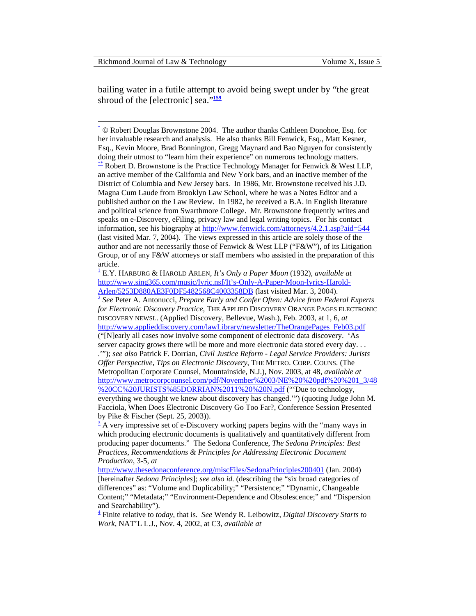<span id="page-19-0"></span>bailing water in a futile attempt to avoid being swept under by "the great shroud of the [electronic] sea."<sup>[159](#page-34-1)</sup>

[<sup>\\*</sup>](#page-0-0) © Robert Douglas Brownstone 2004. The author thanks Cathleen Donohoe, Esq. for her invaluable research and analysis. He also thanks Bill Fenwick, Esq., Matt Kesner, Esq., Kevin Moore, Brad Bonnington, Gregg Maynard and Bao Nguyen for consistently [do](#page-0-0)ing their utmost to "learn him their experience" on numerous technology matters.<br><sup>\*\*</sup> Robert D. Brownstone is the Practice Technology Manager for Fenwick & West LLP, an active member of the California and New York bars, and an inactive member of the District of Columbia and New Jersey bars. In 1986, Mr. Brownstone received his J.D. Magna Cum Laude from Brooklyn Law School, where he was a Notes Editor and a published author on the Law Review. In 1982, he received a B.A. in English literature and political science from Swarthmore College. Mr. Brownstone frequently writes and speaks on e-Discovery, eFiling, privacy law and legal writing topics. For his contact information, see his biography at<http://www.fenwick.com/attorneys/4.2.1.asp?aid=544> (last visited Mar. 7, 2004). The views expressed in this article are solely those of the author and are not necessarily those of Fenwick & West LLP ("F&W"), of its Litigation Group, or of any F&W attorneys or staff members who assisted in the preparation of this article.

[<sup>1</sup>](#page-1-0) E.Y. HARBURG & HAROLD ARLEN, *It's Only a Paper Moon* (1932), *available at*  http://www.sing365.com/music/lyric.nsf/It's-Only-A-Paper-Moon-lyrics-Harold-<br>Arlen/5253D880AE3F0DF5482568C4003358DB (last visited Mar. 3, 2004).

<sup>&</sup>lt;sup>[2](#page-1-0)</sup> See Peter A. Antonucci, *Prepare Early and Confer Often: Advice from Federal Experts for Electronic Discovery Practice*, THE APPLIED DISCOVERY ORANGE PAGES ELECTRONIC DISCOVERY NEWSL. (Applied Discovery, Bellevue, Wash.), Feb. 2003, at 1, 6, *at* [http://www.applieddiscovery.com/lawLibrary/newsletter/TheOrangePages\\_Feb03.pdf](http://www.applieddiscovery.com/lawLibrary/newsletter/TheOrangePages_Feb03.pdf) ("[N]early all cases now involve some component of electronic data discovery. 'As server capacity grows there will be more and more electronic data stored every day. . . .'"); *see also* Patrick F. Dorrian, *Civil Justice Reform - Legal Service Providers: Jurists Offer Perspective, Tips on Electronic Discovery*, THE METRO. CORP. COUNS. (The Metropolitan Corporate Counsel, Mountainside, N.J.), Nov. 2003, at 48, *available at*  [http://www.metrocorpcounsel.com/pdf/November%2003/NE%20%20pdf%20%201\\_3/48](http://www.metrocorpcounsel.com/pdf/November 03/NE  pdf  1_3/48 CC JURISTS%2585DORRIAN 11  N.pdf) [%20CC%20JURISTS%85DORRIAN%2011%20%20N.pdf](http://www.metrocorpcounsel.com/pdf/November 03/NE  pdf  1_3/48 CC JURISTS%2585DORRIAN 11  N.pdf) ("'Due to technology, everything we thought we knew about discovery has changed.'") (quoting Judge John M. Facciola, When Does Electronic Discovery Go Too Far?, Conference Session Presented by Pike & Fischer (Sept. 25, 2003)).

 $\frac{3}{3}$  [A](#page-1-0) very impressive set of e-Discovery working papers begins with the "many ways in which producing electronic documents is qualitatively and quantitatively different from producing paper documents." The Sedona Conference, *The Sedona Principles: Best Practices, Recommendations & Principles for Addressing Electronic Document Production*, 3-5, *at* 

<http://www.thesedonaconference.org/miscFiles/SedonaPrinciples200401> (Jan. 2004) [hereinafter *Sedona Principles*]; *see also id.* (describing the "six broad categories of differences" as: "Volume and Duplicability;" "Persistence;" "Dynamic, Changeable Content;" "Metadata;" "Environment-Dependence and Obsolescence;" and "Dispersion and Searchability").

<sup>4</sup>  [F](#page-1-0)inite relative to *today*, that is. *See* Wendy R. Leibowitz, *Digital Discovery Starts to Work*, NAT'L L.J., Nov. 4, 2002, at C3, *available at*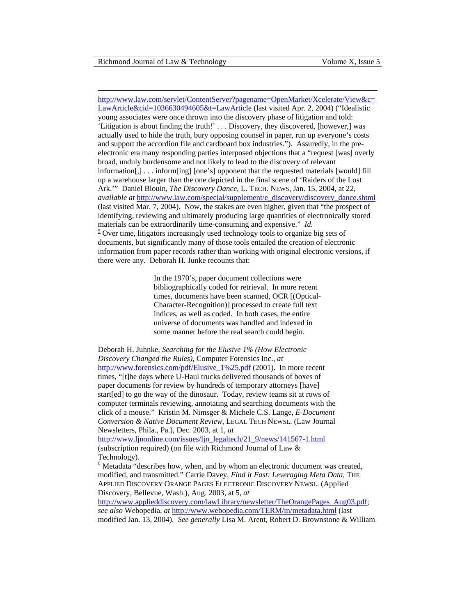<span id="page-20-0"></span>[http://www.law.com/servlet/ContentServer?pagename=OpenMarket/Xcelerate/View&c=](http://www.law.com/servlet/ContentServer?pagename=OpenMarket/Xcelerate/View&c=LawArticle&cid=1036630494605&t=LawArticle) [LawArticle&cid=1036630494605&t=LawArticle](http://www.law.com/servlet/ContentServer?pagename=OpenMarket/Xcelerate/View&c=LawArticle&cid=1036630494605&t=LawArticle) (last visited Apr. 2, 2004) ("Idealistic young associates were once thrown into the discovery phase of litigation and told: 'Litigation is about finding the truth!' . . . Discovery, they discovered, [however,] was actually used to hide the truth, bury opposing counsel in paper, run up everyone's costs and support the accordion file and cardboard box industries."). Assuredly, in the preelectronic era many responding parties interposed objections that a "request [was] overly broad, unduly burdensome and not likely to lead to the discovery of relevant information[,] . . . inform[ing] [one's] opponent that the requested materials [would] fill up a warehouse larger than the one depicted in the final scene of 'Raiders of the Lost Ark.'" Daniel Blouin, *The Discovery Dance*, L. TECH. NEWS, Jan. 15, 2004, at 22, *available at [http://www.law.com/special/supplement/e\\_discovery/discovery\\_dance.shtml](http://www.law.com/special/supplement/e_discovery/discovery_dance.shtml)* (last visited Mar. 7, 2004). Now, the stakes are even higher, given that "the prospect of identifying, reviewing and ultimately producing large quantities of electronically stored materials can be extraordinarily time-consuming and expensive." *Id.* [5](#page-1-0)  $\frac{5}{2}$  Over time, litigators increasingly used technology tools to organize big sets of documents, but significantly many of those tools entailed the creation of electronic information from paper records rather than working with original electronic versions, if there were any. Deborah H. Junke recounts that:

> In the 1970's, paper document collections were bibliographically coded for retrieval. In more recent times, documents have been scanned, OCR [(Optical-Character-Recognition)] processed to create full text indices, as well as coded. In both cases, the entire universe of documents was handled and indexed in some manner before the real search could begin.

Deborah H. Juhnke, *Searching for the Elusive 1% (How Electronic Discovery Changed the Rules)*, Computer Forensics Inc., *at*  [http://www.forensics.com/pdf/Elusive\\_1%25.pdf](http://www.forensics.com/pdf/Elusive_1%25.pdf) (2001). In more recent times, "[t]he days where U-Haul trucks delivered thousands of boxes of paper documents for review by hundreds of temporary attorneys [have] start[ed] to go the way of the dinosaur. Today, review teams sit at rows of computer terminals reviewing, annotating and searching documents with the click of a mouse." Kristin M. Nimsger & Michele C.S. Lange, *E-Document Conversion & Native Document Review*, LEGAL TECH NEWSL. (Law Journal Newsletters, Phila., Pa.), Dec. 2003, at 1, *at* 

[http://www.ljnonline.com/issues/ljn\\_legaltech/21\\_9/news/141567-1.html](http://www.ljnonline.com/issues/ljn_legaltech/21_9/news/141567-1.html) (subscription required) (on file with Richmond Journal of Law & Technology).

 $6$  [M](#page-1-0)etadata "describes how, when, and by whom an electronic document was created, modified, and transmitted." Carrie Davey, *Find it Fast: Leveraging Meta Data*, THE APPLIED DISCOVERY ORANGE PAGES ELECTRONIC DISCOVERY NEWSL. (Applied Discovery, Bellevue, Wash.), Aug. 2003, at 5, *at* 

[http://www.applieddiscovery.com/lawLibrary/newsletter/TheOrangePages\\_Aug03.pdf](http://www.applieddiscovery.com/lawLibrary/newsletter/TheOrangePages_Aug03.pdf); *see also* Webopedia, *at* <http://www.webopedia.com/TERM/m/metadata.html> (last modified Jan. 13, 2004). *See generally* Lisa M. Arent, Robert D. Brownstone & William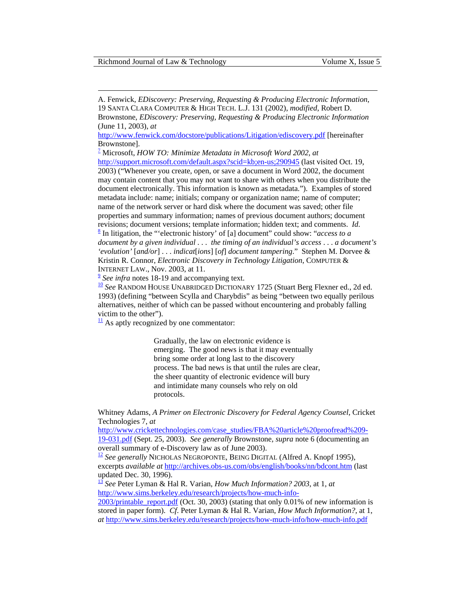<span id="page-21-0"></span>

A. Fenwick, *EDiscovery: Preserving, Requesting & Producing Electronic Information*, 19 SANTA CLARA COMPUTER & HIGH TECH. L.J. 131 (2002), *modified*, Robert D. Brownstone, *EDiscovery: Preserving, Requesting & Producing Electronic Information* (June 11, 2003), *at*

<http://www.fenwick.com/docstore/publications/Litigation/ediscovery.pdf> [hereinafter Brownstone].

7  [M](#page-1-0)icrosoft, *HOW TO: Minimize Metadata in Microsoft Word 2002*, *at* 

<http://support.microsoft.com/default.aspx?scid=kb;en-us;290945> (last visited Oct. 19, 2003) ("Whenever you create, open, or save a document in Word 2002, the document may contain content that you may not want to share with others when you distribute the document electronically. This information is known as metadata."). Examples of stored metadata include: name; initials; company or organization name; name of computer; name of the network server or hard disk where the document was saved; other file properties and summary information; names of previous document authors; document revisions; document versions; template information; hidden text; and comments. *Id.* [8](#page-2-0) In litigation, the "'electronic history' of [a] document" could show: "*access to a document by a given individual* . . . *the timing of an individual's access* . . . *a document's 'evolution'* [*and/or*] . . . *indicat*[*ions*] [*of*] *document tampering*." Stephen M. Dorvee & Kristin R. Connor, *Electronic Discovery in Technology Litigation*, COMPUTER &

[IN](#page-2-0)TERNET LAW., Nov. 2003, at 11.<br><sup>[9](#page-2-0)</sup> *See infra* notes 18-19 and accompanying text.<br><sup>[10](#page-2-0)</sup> *See* RANDOM HOUSE UNABRIDGED DICTIONARY 1725 (Stuart Berg Flexner ed., 2d ed. 1993) (defining "between Scylla and Charybdis" as being "between two equally perilous alternatives, neither of which can be passed [wi](#page-1-0)thout encountering and probably falling victim to the other").

 $\frac{11}{11}$  As aptly recognized by one commentator:

Gradually, the law on electronic evidence is emerging. The good news is that it may eventually bring some order at long last to the discovery process. The bad news is that until the rules are clear, the sheer quantity of electronic evidence will bury and intimidate many counsels who rely on old protocols.

Whitney Adams, *A Primer on Electronic Discovery for Federal Agency Counsel*, Cricket Technologies 7, *at* 

[http://www.crickettechnologies.com/case\\_studies/FBA%20article%20proofread%209-](http://www.crickettechnologies.com/case_studies/FBA article proofread 9-19-031.pdf) [19-031.pdf](http://www.crickettechnologies.com/case_studies/FBA article proofread 9-19-031.pdf) (Sept. 25, 2003). *See generally* Brownstone, *supra* note 6 (documenting an overall summary of e-Discovery law as of June 2003).

<sup>[12](#page-2-0)</sup> *See generally* NICHOLAS NEGROPONTE, BEING DIGITAL (Alfred A. Knopf 1995), excerpts *available at* <http://archives.obs-us.com/obs/english/books/nn/bdcont.htm> (last updated Dec. 30, 1996).

[13](#page-2-0) *See* Peter Lyman & Hal R. Varian, *How Much Information? 2003*, at 1, *at* [http://www.sims.berkeley.edu/research/projects/how-much-info-](http://www.sims.berkeley.edu/research/projects/how-much-info-2003/printable_report.pdf)

[2003/printable\\_report.pdf](http://www.sims.berkeley.edu/research/projects/how-much-info-2003/printable_report.pdf) (Oct. 30, 2003) (stating that only 0*.*01% of new information is stored in paper form). *Cf*. Peter Lyman & Hal R. Varian, *How Much Information?*, at 1, *at* <http://www.sims.berkeley.edu/research/projects/how-much-info/how-much-info.pdf>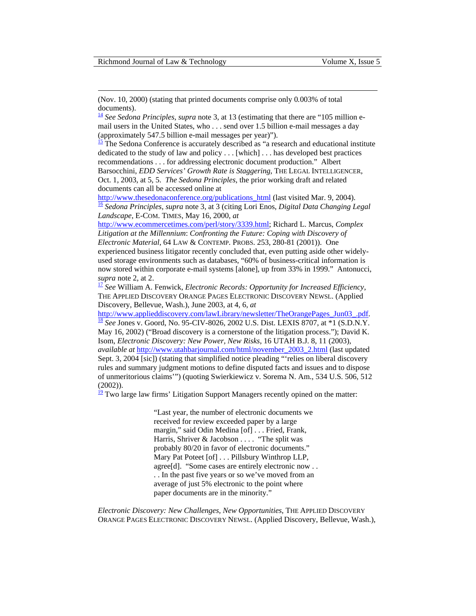<span id="page-22-0"></span>(Nov. 10, 2000) (stating that printed documents comprise only 0*.*003% of total documents).[14](#page-2-0) *See Sedona Principles*, *supra* note 3, at 13 (estimating that there are "105 million e-

mail users in the United States, who . . . send over 1.5 billion e-mail messages a day (approximately 547.5 billion e-mail messages per year)").

 $\frac{15}{15}$  The Sedona Conference is accurately described as "a research and educational institute dedicated to the study of law and policy . . . [which] . . . has developed best practices recommendations . . . for addressing electronic document production." Albert Barsocchini, *EDD Services' Growth Rate is Staggering*, THE LEGAL INTELLIGENCER, Oct. 1, 2003, at 5, 5. *The Sedona Principles*, the prior working draft and related documents can all be accessed online at

[http://www.thesedonaconference.org/publications\\_html](http://www.thesedonaconference.org/publications_html) (last visited Mar. 9, 2004). [16](#page-2-0) *Sedona Principles*, *supra* note 3, at 3 (citing Lori Enos, *Digital Data Changing Legal Landscape*, E-COM. TIMES, May 16, 2000, *at*

<http://www.ecommercetimes.com/perl/story/3339.html>; Richard L. Marcus, *Complex Litigation at the Millennium*: *Confronting the Future: Coping with Discovery of Electronic Material*, 64 LAW & CONTEMP. PROBS. 253, 280-81 (2001)). One experienced business litigator recently concluded that, even putting aside other widelyused storage environments such as databases, "60% of business-critical information is now stored within corporate e-mail systems [alone], up from 33% in 1999." Antonucci, *supra* note 2, at 2. [17](#page-3-0) *See* William A. Fenwick, *Electronic Records: Opportunity for Increased Efficiency*,

THE APPLIED DISCOVERY ORANGE PAGES ELECTRONIC DISCOVERY NEWSL. (Applied Discovery, Bellevue, Wash.), June 2003, at 4, 6, *at*

[http://www.applieddiscovery.com/lawLibrary/newsletter/TheOrangePages\\_Jun03\\_.pdf.](http://www.applieddiscovery.com/lawLibrary/newsletter/TheOrangePages_Jun03_.pdf) [18](#page-3-0) *See* Jones v. Goord, No. 95-CIV-8026, 2002 U.S. Dist. LEXIS 8707, at \*1 (S.D.N.Y. May 16, 2002) ("Broad discovery is a cornerstone of the litigation process."); David K. Isom, *Electronic Discovery: New Power, New Risks*, 16 UTAH B.J. 8, 11 (2003), *available at* [http://www.utahbarjournal.com/html/november\\_2003\\_2.html](http://www.utahbarjournal.com/html/november_2003_2.html) (last updated Sept. 3, 2004 [sic]) (stating that simplified notice pleading "'relies on liberal discovery rules and summary judgment motions to define disputed facts and issues and to dispose of unmeritorious claims'") (quoting Swierkiewicz v. Sorema N. Am., 534 U.S. 506, 512 (2002)).

 $\frac{19}{2}$  Two large law firms' Litigation Support Managers recently opined on the matter:

"Last year, the number of electronic documents we received for review exceeded paper by a large margin," said Odin Medina [of] . . . Fried, Frank, Harris, Shriver & Jacobson . . . . "The split was probably 80/20 in favor of electronic documents." Mary Pat Poteet [of] . . . Pillsbury Winthrop LLP, agree<sup>[d]</sup>. "Some cases are entirely electronic now . . . . In the past five years or so we've moved from an average of just 5% electronic to the point where paper documents are in the minority."

*Electronic Discovery: New Challenges, New Opportunities*, THE APPLIED DISCOVERY ORANGE PAGES ELECTRONIC DISCOVERY NEWSL. (Applied Discovery, Bellevue, Wash.),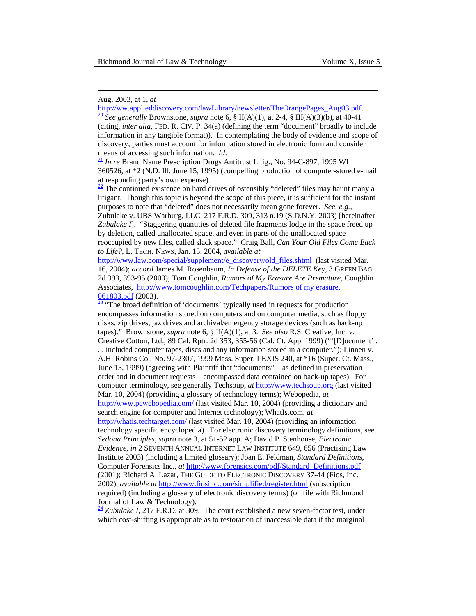#### Aug. 2003, at 1, *at*

<span id="page-23-0"></span> $\overline{a}$ 

[http://ww.applieddiscovery.com/lawLibrary/newsletter/TheOrangePages\\_Aug03.pdf.](http://ww.applieddiscovery.com/lawLibrary/newsletter/TheOrangePages_Aug03.pdf) [20](#page-3-0) *See generally* Brownstone, *supra* note 6, § II(A)(1), at 2-4, § III(A)(3)(b), at 40-41

(citing, *inter alia*, FED. R. CIV. P. 34(a) (defining the term "document" broadly to include information in any tangible format)). In contemplating the body of evidence and scope of discovery, parties must account for information stored in electronic form and consider means of accessing such information. *Id*.<br><sup>[21](#page-3-0)</sup> *In re* Brand Name Prescription Drugs Antitrust Litig., No. 94-C-897, 1995 WL

360526, at \*2 (N.D. Ill. June 15, 1995) (compelling production of computer-stored e-mail at responding party's own expense).

 $\frac{22}{2}$  The continued existence on hard drives of ostensibly "deleted" files may haunt many a litigant. Though this topic is beyond the scope of this piece, it is sufficient for the instant purposes to note that "deleted" does not necessarily mean gone forever. *See, e.g.*,

Zubulake v. UBS Warburg, LLC, 217 F.R.D. 309, 313 n.19 (S.D.N.Y. 2003) [hereinafter *Zubulake I*]. "Staggering quantities of deleted file fragments lodge in the space freed up by deletion, called unallocated space, and even in parts of the unallocated space reoccupied by new files, called slack space." Craig Ball, *Can Your Old Files Come Back to Life?*, L. TECH. NEWS, Jan. 15, 2004, *available at*

[http://www.law.com/special/supplement/e\\_discovery/old\\_files.shtml](http://www.law.com/special/supplement/e_discovery/old_files.shtml) (last visited Mar. 16, 2004); *accord* James M. Rosenbaum, *In Defense of the DELETE Key*, 3 GREEN BAG 2d 393, 393-95 (2000); Tom Coughlin, *Rumors of My Erasure Are Premature*, Coughlin Associates, [http://www.tomcoughlin.com/Techpapers/Rumors of my erasure,](http://www.tomcoughlin.com/Techpapers/Rumors of my erasure, 061803.pdf)   $\frac{061803.pdf}{23}$  "The broad definition of 'documents' typically used in requests for production

encompasses information stored on computers and on computer media, such as floppy disks, zip drives, jaz drives and archival/emergency storage devices (such as back-up tapes)." Brownstone, *supra* note 6, § II(A)(1), at 3. *See also* R.S. Creative, Inc. v. Creative Cotton, Ltd., 89 Cal. Rptr. 2d 353, 355-56 (Cal. Ct. App. 1999) ("'[D]ocument' . . . included computer tapes, discs and any information stored in a computer."); Linnen v. A.H. Robins Co., No. 97-2307, 1999 Mass. Super. LEXIS 240, at \*16 (Super. Ct. Mass., June 15, 1999) (agreeing with Plaintiff that "documents" – as defined in preservation order and in document requests – encompassed data contained on back-up tapes). For computer terminology, see generally Techsoup, *at* [http://www.techsoup.org](http://www.techsoup.org/) (last visited Mar. 10, 2004) (providing a glossary of technology terms); Webopedia, *at*  <http://www.pcwebopedia.com/> (last visited Mar. 10, 2004) (providing a dictionary and search engine for computer and Internet technology); WhatIs.com, *at*  <http://whatis.techtarget.com/> (last visited Mar. 10, 2004) (providing an information technology specific encyclopedia). For electronic discovery terminology definitions, see *Sedona Principles*, *supra* note 3, at 51-52 app. A; David P. Stenhouse, *Electronic Evidence*, *in* 2 SEVENTH ANNUAL INTERNET LAW INSTITUTE 649, 656 (Practising Law Institute 2003) (including a limited glossary); Joan E. Feldman, *Standard Definitions*, Computer Forensics Inc., *at* [http://www.forensics.com/pdf/Standard\\_Definitions.pdf](http://www.forensics.com/pdf/Standard_Definitions.pdf) (2001); Richard A. Lazar, THE GUIDE TO ELECTRONIC DISCOVERY 37-44 (Fios, Inc. 2002), *available at* <http://www.fiosinc.com/simplified/register.html> (subscription required) (including a glossary of electronic discovery terms) (on file with Richmond Journal of Law & Technology).

 $\frac{24}{3}$  $\frac{24}{3}$  $\frac{24}{3}$  *Zubulake I*, 217 F.R.D. at 309. The court established a new seven-factor test, under which cost-shifting is appropriate as to restoration of inaccessible data if the marginal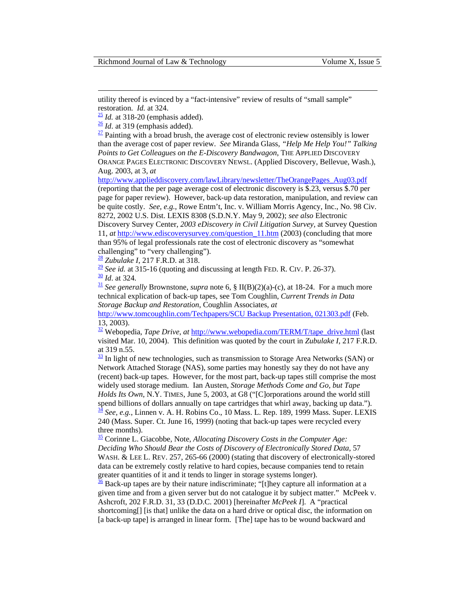utility thereof is evinced by a "fact-intensive" review of results of "small sample" restoration. *Id.* at 324.  $\frac{25}{1}$  *Id.* at 318-20 (emphasis added).  $\frac{26}{1}$  $\frac{26}{1}$  $\frac{26}{1}$  *Id.* at 319 (emphasis added).  $\frac{27}{1}$  Painting with a broad brush, the average cost of electronic review ostensibly is lower

<span id="page-24-0"></span> $\overline{a}$ 

than the average cost of paper review. *See* Miranda Glass, *"Help Me Help You!" Talking Points to Get Colleagues on the E-Discovery Bandwagon*, THE APPLIED DISCOVERY ORANGE PAGES ELECTRONIC DISCOVERY NEWSL. (Applied Discovery, Bellevue, Wash.), Aug. 2003, at 3, *at* 

[http://www.applieddiscovery.com/lawLibrary/newsletter/TheOrangePages\\_Aug03.pdf](http://www.applieddiscovery.com/lawLibrary/newsletter/TheOrangePages_Aug03.pdf)

(reporting that the per page average cost of electronic discovery is \$.23, versus \$.70 per page for paper review). However, back-up data restoration, manipulation, and review can be quite costly. *See, e.g.*, Rowe Entm't, Inc. v. William Morris Agency, Inc., No. 98 Civ. 8272, 2002 U.S. Dist. LEXIS 8308 (S.D.N.Y. May 9, 2002); *see also* Electronic

Discovery Survey Center, *2003 eDiscovery in Civil Litigation Survey,* at Survey Question 11, *at* [http://www.ediscoverysurvey.com/question\\_11.htm](http://www.ediscoverysurvey.com/question_11.htm) (2003) (concluding that more than 95% of legal professionals rate the cost of electronic discovery as "somewhat challenging" to "very challenging").

 $\frac{28}{2}$  $\frac{28}{2}$  $\frac{28}{2}$  *Zubulake I*, 217 F.R.D. at 318.<br> $\frac{29}{2}$  *See id.* at 315-16 (quoting and discussing at length FED. R. CIV. P. 26-37).  $\frac{30}{16}$  $\frac{30}{16}$  $\frac{30}{16}$  *Id.* at 324. *See generally* Brownstone, *supra* note 6, § II(B)(2)(a)-(c), at 18-24. For a much more

technical explication of back-up tapes, see Tom Coughlin, *Current Trends in Data Storage Backup and Restoration*, Coughlin Associates, *at*

<http://www.tomcoughlin.com/Techpapers/SCU Backup Presentation, 021303.pdf> (Feb. 13, 2003).

<sup>32</sup> Webopedia, *Tape Drive*, *at* [http://www.webopedia.com/TERM/T/tape\\_drive.html](http://www.webopedia.com/TERM/T/tape_drive.html) (last visited Mar. 10, 2004). This definition was quoted by the court in *Zubulake I*, 217 F.R.D. at 319 n.55.

 $\frac{33}{21}$  In light of new technologies, such as transmission to Storage Area Networks (SAN) or Network Attached Storage (NAS), some parties may honestly say they do not have any (recent) back-up tapes. However, for the most part, back-up tapes still comprise the most widely used storage medium. Ian Austen, *Storage Methods Come and Go, but Tape Holds Its Own*, N.Y. TIMES, June 5, 2003, at G8 ("[C]orporations around the world still [spe](#page-4-0)nd billions of dollars annually on tape cartridges that whirl away, backing up data."). [34](#page-4-0) *See, e.g.*, Linnen v. A. H. Robins Co., 10 Mass. L. Rep. 189, 1999 Mass. Super. LEXIS 240 (Mass. Super. Ct. June 16, 1999) (noting that back-up tapes were recycled every three months).

[35](#page-4-0) Corinne L. Giacobbe, Note, *Allocating Discovery Costs in the Computer Age: Deciding Who Should Bear the Costs of Discovery of Electronically Stored Data*, 57 WASH. & LEE L. REV. 257, 265-66 (2000) (stating that discovery of electronically-stored data can be extremely costly relative to hard copies, because companies tend to retain [gre](#page-4-0)ater quantities of it and it tends to linger in storage systems longer).<br> $\frac{36}{10}$  Back-up tapes are by their nature indiscriminate; "[t]hey capture all information at a

given time and from a given server but do not catalogue it by subject matter." McPeek v. Ashcroft, 202 F.R.D. 31, 33 (D.D.C. 2001) [hereinafter *McPeek I*]. A "practical shortcoming[] [is that] unlike the data on a hard drive or optical disc, the information on [a back-up tape] is arranged in linear form. [The] tape has to be wound backward and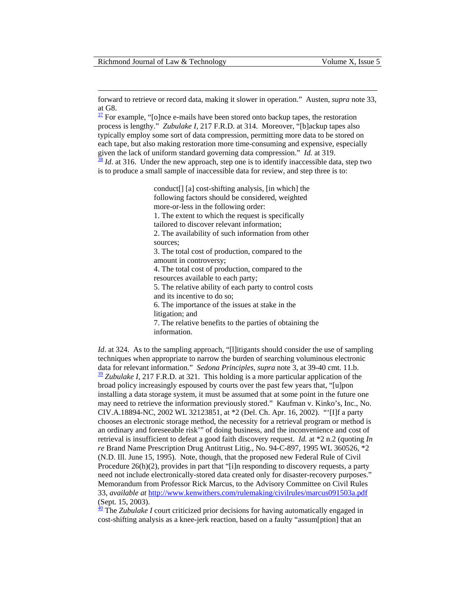<span id="page-25-0"></span>forward to retrieve or record data, making it slower in operation." Austen, *supra* note 33, at G8.

 $\frac{37}{2}$  For example, "[o]nce e-mails have been stored onto backup tapes, the restoration process is lengthy." *Zubulake I*, 217 F.R.D. at 314. Moreover, "[b]ackup tapes also typically employ some sort of data compression, permitting more data to be stored on each tape, but also making restoration more time-consuming and expensive, especially given the lack of uniform standard governing data compression."  $Id$ . at 319.

 $\frac{38}{3}$  $\frac{38}{3}$  $\frac{38}{3}$  *Id.* at 316. Under the new approach, step one is to identify inaccessible data, step two is to produce a small sample of inaccessible data for review, and step three is to:

> conduct[] [a] cost-shifting analysis, [in which] the following factors should be considered, weighted more-or-less in the following order:

1. The extent to which the request is specifically tailored to discover relevant information;

2. The availability of such information from other sources;

3. The total cost of production, compared to the amount in controversy;

4. The total cost of production, compared to the resources available to each party;

5. The relative ability of each party to control costs and its incentive to do so;

6. The importance of the issues at stake in the

litigation; and

7. The relative benefits to the parties of obtaining the information.

*Id.* at 324. As to the sampling approach, "[l]itigants should consider the use of sampling techniques when appropriate to narrow the burden of searching voluminous electronic data for relevant information." *Sedona Principles*, *supra* note 3, at 39-40 cmt. 11.b.  $\frac{39}{2}$  $\frac{39}{2}$  $\frac{39}{2}$  *Zubulake I*, 217 F.R.D. at 321. This holding is a more particular application of the broad policy increasingly espoused by courts over the past few years that, "[u]pon installing a data storage system, it must be assumed that at some point in the future one may need to retrieve the information previously stored." Kaufman v. Kinko's, Inc., No. CIV.A.18894-NC, 2002 WL 32123851, at \*2 (Del. Ch. Apr. 16, 2002). "'[I]f a party chooses an electronic storage method, the necessity for a retrieval program or method is an ordinary and foreseeable risk'" of doing business, and the inconvenience and cost of retrieval is insufficient to defeat a good faith discovery request. *Id.* at \*2 n.2 (quoting *In re* Brand Name Prescription Drug Antitrust Litig., No. 94-C-897, 1995 WL 360526, \*2 (N.D. Ill. June 15, 1995). Note, though, that the proposed new Federal Rule of Civil Procedure 26(h)(2), provides in part that "[i]n responding to discovery requests, a party need not include electronically-stored data created only for disaster-recovery purposes." Memorandum from Professor Rick Marcus, to the Advisory Committee on Civil Rules 33, *available at* <http://www.kenwithers.com/rulemaking/civilrules/marcus091503a.pdf> (Sept. 15, 2003).

<sup>40</sup> The *Zubulake I* court criticized prior decisions for having automatically engaged in cost-shifting analysis as a knee-jerk reaction, based on a faulty "assum[ption] that an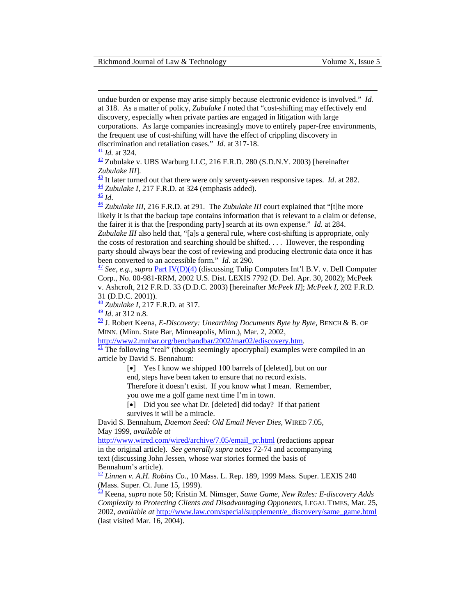undue burden or expense may arise simply because electronic evidence is involved." *Id.* at 318. As a matter of policy, *Zubulake I* noted that "cost-shifting may effectively end discovery, especially when private parties are engaged in litigation with large corporations. As large companies increasingly move to entirely paper-free environments, the frequent use of cost-shifting will have the effect of crippling discovery in discrimination and retaliation cases." *Id.* at 317-18.<br> $\frac{41}{10}$  $\frac{41}{10}$  $\frac{41}{10}$  *Id.* at 324.<br> $\frac{42}{10}$  Zubulake v. UBS Warburg LLC, 216 F.R.D. 280 (S.D.N.Y. 2003) [hereinafter

Zubulake III].<br>  $\frac{43}{11}$  It later turned out that there were only seventy-seven responsive tapes. Id. at 282.<br>  $\frac{44}{11}$  Zubulake I, 217 F.R.D. at 324 (emphasis added).<br>  $\frac{45}{11}$  $\frac{45}{11}$  $\frac{45}{11}$  Zubulake III, 216 F.R.D. at 291. T

<span id="page-26-0"></span> $\overline{a}$ 

likely it is that the backup tape contains information that is relevant to a claim or defense, the fairer it is that the [responding party] search at its own expense." *Id.* at 284.

*Zubulake III* also held that, "[a]s a general rule, where cost-shifting is appropriate, only the costs of restoration and searching should be shifted. . . . However, the responding party should always bear the cost of reviewing and producing electronic data once it has been converted to an accessible form." *Id.* at 290.<br><sup>[47](#page-5-0)</sup> *See, e.g., supra* Part IV(D)(4) (discussing Tulip Computers Int'l B.V. v. Dell Computer

Corp., No. 00-981-RRM, 2002 U.S. Dist. LEXIS 7792 (D. Del. Apr. 30, 2002); McPeek v. Ashcroft, 212 F.R.D. 33 (D.D.C. 2003) [hereinafter *McPeek II*]; *McPeek I*, 202 F.R.D. 31 (D.D.C. 2001)).

[48](#page-6-0) *Zubulake I,* 217 F.R.D. at 317.

<sup>49</sup> *Id*. at 312 n.8. [50 J](#page-6-0). Robert Keena, *E-Discovery: Unearthing Documents Byte by Byte*, BENCH & B. OF MINN. (Minn. State Bar, Minneapolis, Minn.), Mar. 2, 2002,

http://www2.mnbar.org/benchandbar/2002/mar02/ediscovery.htm.<br><sup>51</sup> The following "real" (though seemingly apocryphal) examples were compiled in an article by David S. Bennahum:

[•] Yes I know we shipped 100 barrels of [deleted], but on our

end, steps have been taken to ensure that no record exists.

Therefore it doesn't exist. If you know what I mean. Remember, you owe me a golf game next time I'm in town.

[•] Did you see what Dr. [deleted] did today? If that patient survives it will be a miracle.

David S. Bennahum, *Daemon Seed: Old Email Never Dies*, WIRED 7.05, May 1999, *available at*

[http://www.wired.com/wired/archive/7.05/email\\_pr.html](http://www.wired.com/wired/archive/7.05/email_pr.html) (redactions appear in the original article). *See generally supra* notes 72-74 and accompanying text (discussing John Jessen, whose war stories formed the basis of Bennahum's article).

 $\frac{52}{2}$  $\frac{52}{2}$  $\frac{52}{2}$  *Linnen v. A.H. Robins Co.*, 10 Mass. L. Rep. 189, 1999 Mass. Super. LEXIS 240 (Mass. Super. Ct. June 15, 1999).

[53 K](#page-6-0)eena, *supra* note 50; Kristin M. Nimsger, *Same Game, New Rules: E-discovery Adds Complexity to Protecting Clients and Disadvantaging Opponents*, LEGAL TIMES, Mar. 25, 2002, *available at* [http://www.law.com/special/supplement/e\\_discovery/same\\_game.html](http://www.law.com/special/supplement/e_discovery/same_game.html) (last visited Mar. 16, 2004).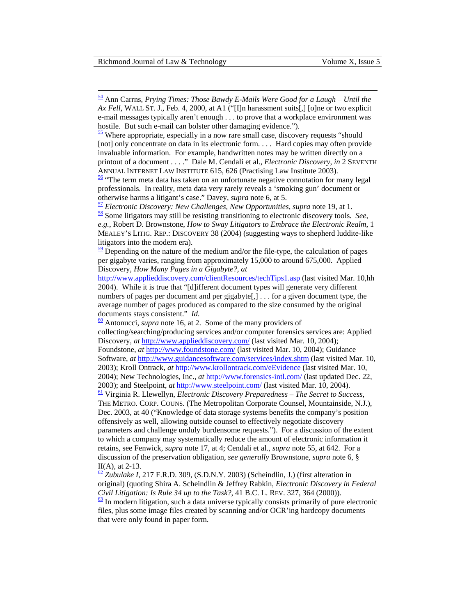<span id="page-27-0"></span>[54](#page-6-0) Ann Carrns, *Prying Times: Those Bawdy E-Mails Were Good for a Laugh – Until the Ax Fell*, WALL ST. J., Feb. 4, 2000, at A1 ("[I]n harassment suits[,] [o]ne or two explicit e-mail messages typically aren't enough . . . to prove that a workplace environment was hostile. But such e-mail can bolster other damaging evidence.").

 $\frac{55}{2}$  Where appropriate, especially in a now rare small case, discovery requests "should" [not] only concentrate on data in its electronic form. . . . Hard copies may often provide invaluable information. For example, handwritten notes may be written directly on a printout of a document . . . ." Dale M. Cendali et al., *Electronic Discovery*, *in* 2 SEVENTH [AN](#page-7-0)NUAL INTERNET LAW INSTITUTE 615, 626 (Practising Law Institute 2003).<br><sup>56</sup> "The term meta data has taken on an unfortunate negative connotation for many legal

professionals. In reality, meta data very rarely reveals a 'smoking gun' document or otherwise harms a litigant's case." Davey, *supra* note 6, at 5.<br>
<u><sup>[57](#page-7-0)</sup> Electronic Discovery:</u> New Challenges, New Opportunities, *supra* note 19, at 1.<br>
<sup>58</sup> Some litigators may still be resisting transitioning to electr

*e.g.*, Robert D. Brownstone, *How to Sway Litigators to Embrace the Electronic Realm*, 1 MEALEY'S LITIG. REP.: DISCOVERY 38 (2004) (suggesting ways to shepherd luddite-like litigators into the modern era).

 $\frac{59}{2}$  Depending on the nature of the medium and/or the file-type, the calculation of pages per gigabyte varies, ranging from approximately 15,000 to around 675,000. Applied Discovery, *How Many Pages in a Gigabyte?*, *at*

<http://www.applieddiscovery.com/clientResources/techTips1.asp> (last visited Mar. 10,hh 2004). While it is true that "[d]ifferent document types will generate very different numbers of pages per document and per gigabyte[,] . . . for a given document type, the average number of pages produced as compared to the size consumed by the original documents stays consistent." *Id.* [60](#page-7-0) Antonucci, *supra* note 16, at 2. Some of the many providers of

collecting/searching/producing services and/or computer forensics services are: Applied Discovery, *at* <http://www.applieddiscovery.com/> (last visited Mar. 10, 2004); Foundstone, *at* <http://www.foundstone.com/>(last visited Mar. 10, 2004); Guidance Software, *at* <http://www.guidancesoftware.com/services/index.shtm>(last visited Mar. 10, 2003); Kroll Ontrack, *at* <http://www.krollontrack.com/eEvidence>(last visited Mar. 10, 2004); New Technologies, Inc., *at* <http://www.forensics-intl.com/>(last updated Dec. 22, 2003); and Steelpoint, *at* http://www.steelpoint.com/ (last visited Mar. 10, 2004). <sup>61</sup> Virginia R. Llewellyn, *Electronic Discovery Preparedness – The Secret to Success*, THE METRO. CORP. COUNS. (The Metropolitan Corporate Counsel, Mountainside, N.J.), Dec. 2003, at 40 ("Knowledge of data storage systems benefits the company's position offensively as well, allowing outside counsel to effectively negotiate discovery parameters and challenge unduly burdensome requests."). For a discussion of the extent to which a company may systematically reduce the amount of electronic information it retains, see Fenwick, *supra* note 17, at 4; Cendali et al., *supra* note 55, at 642. For a discussion of the preservation obligation, *see generally* Brownstone, *supra* note 6, §  $II(A)$ , at 2-13.

 $\frac{62}{2}$  $\frac{62}{2}$  $\frac{62}{2}$  *Zubulake I*, 217 F.R.D. 309, (S.D.N.Y. 2003) (Scheindlin, J.) (first alteration in original) (quoting Shira A. Scheindlin & Jeffrey Rabkin, *Electronic Discovery in Federal Civil Litigation: Is Rule 34 up to the Task?*, 41 B.C. L. REV. 327, 364 (2000)).  $\frac{63}{5}$  In modern litigation, such a data universe typically consists primarily of pure electronic files, plus some image files created by scanning and/or OCR'ing hardcopy documents that were only found in paper form.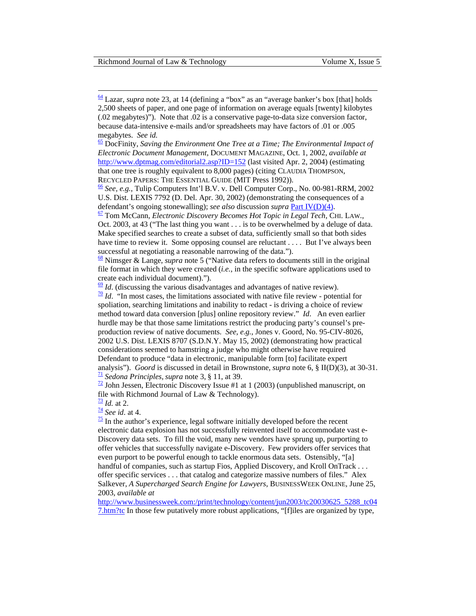file format in which they were created (*i.e.*, in the specific software applications used to create each individual document).").

 $\frac{69}{10}$  *Id*. (discussing the various disadvantages and advantages of native review).<br>  $\frac{70}{10}$  $\frac{70}{10}$  $\frac{70}{10}$  *Id.* "In most cases, the limitations associated with native file review - potential for

spoliation, searching limitations and inability to redact - is driving a choice of review method toward data conversion [plus] online repository review." *Id*. An even earlier hurdle may be that those same limitations restrict the producing party's counsel's preproduction review of native documents. *See, e.g.*, Jones v. Goord, No. 95-CIV-8026, 2002 U.S. Dist. LEXIS 8707 (S.D.N.Y. May 15, 2002) (demonstrating how practical considerations seemed to hamstring a judge who might otherwise have required Defendant to produce "data in electronic, manipulable form [to] facilitate expert analysis"). *Goord* is discussed in detail in Brownstone, *supra* note 6, § II(D)(3), at 30-31.<br>
<sup>71</sup> Sedona Principles, *supra* note 3, § 11, at 39.<br>
<sup>72</sup> John Jessen, Electronic Discovery Issue #1 at 1 (2003) (unpublish

file with Richmond Journal of Law & Technology).

 $\frac{73}{4}$  *Id.* at 2.  $\frac{74}{5}$  *See id.* at 4.  $\frac{75}{5}$  In the author's experience, legal software initially developed before the recent electronic data explosion has not successfully reinvented itself to accommodate vast e-Discovery data sets. To fill the void, many new vendors have sprung up, purporting to offer vehicles that successfully navigate e-Discovery. Few providers offer services that even purport to be powerful enough to tackle enormous data sets. Ostensibly, "[a] handful of companies, such as startup Fios, Applied Discovery, and Kroll OnTrack . . . offer specific services . . . that catalog and categorize massive numbers of files." Alex Salkever, *A Supercharged Search Engine for Lawyers*, BUSINESSWEEK ONLINE, June 25, 2003, *available at*

[http://www.businessweek.com:/print/technology/content/jun2003/tc20030625\\_5288\\_tc04](http://www.businessweek.com:/print/technology/content/jun2003/tc20030625_5288_tc047.htm?tc) [7.htm?tc](http://www.businessweek.com:/print/technology/content/jun2003/tc20030625_5288_tc047.htm?tc) In those few putatively more robust applications, "[f]iles are organized by type,

<span id="page-28-0"></span> $\frac{64}{3}$  Lazar, *supra* note 23, at 14 (defining a "box" as an "average banker's box [that] holds 2,500 sheets of paper, and one page of information on average equals [twenty] kilobytes (.02 megabytes)"). Note that .02 is a conservative page-to-data size conversion factor, because data-intensive e-mails and/or spreadsheets may have factors of .01 or .005 megabytes. *See id.* [65](#page-7-0) *megabytes. See id.* 65 DocFinity, *Saving the Invironmental Impact of*  $\frac{65}{2}$  DocFinity, *Saving the Environmental Impact of* 

*Electronic Document Management*, DOCUMENT MAGAZINE, Oct. 1, 2002, *available at* <http://www.dptmag.com/editorial2.asp?ID=152>(last visited Apr. 2, 2004) (estimating that one tree is roughly equivalent to 8,000 pages) (citing CLAUDIA THOMPSON,

RECYCLED PAPERS: THE ESSENTIAL GUIDE (MIT Press 1992)).<br>
<u><sup>[66](#page-8-0)</sup> *See, e.g.*, Tulip Computers Int'l B.V. v. Dell Computer Corp., No. 00-981-RRM, 2002</u> U.S. Dist. LEXIS 7792 (D. Del. Apr. 30, 2002) (demonstrating the consequences of a defendant's ongoing stonewalling); *see also* discussion *supra* Part IV[\(D\)\(4\).](#page-17-0) [67 T](#page-8-0)om McCann, *Electronic Discovery Becomes Hot Topic in Legal Tech*, CHI. LAW.,

Oct. 2003, at 43 ("The last thing you want . . . is to be overwhelmed by a deluge of data. Make specified searches to create a subset of data, sufficiently small so that both sides have time to review it. Some opposing counsel are reluctant . . . . But I've always been [suc](#page-8-0)cessful at negotiating a reasonable narrowing of the data.").<br><sup>68</sup> Nimsger & Lange, *supra* note 5 ("Native data refers to documents still in the original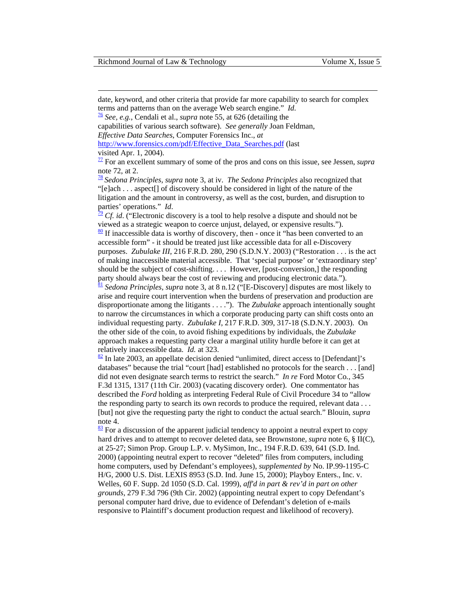<span id="page-29-0"></span>date, keyword, and other criteria that provide far more capability to search for complex terms and patterns than on the average Web search engine." *Id.* [76](#page-8-0) *See, e.g.*, Cendali et al., *supra* note 55, at 626 (detailing the

capabilities of various search software). *See generally* Joan Feldman,

*Effective Data Searches*, Computer Forensics Inc., *at*

[http://www.forensics.com/pdf/Effective\\_Data\\_Searches.pdf \(](http://www.forensics.com/pdf/Effective_Data_Searches.pdf)last visited Apr. 1, 2004).

[77 F](#page-9-0)or an excellent summary of some of the pros and cons on this issue, see Jessen, *supra*  note 72, at 2.

[78](#page-9-0) *Sedona Principles*, *supra* note 3, at iv. *The Sedona Principles* also recognized that "[e]ach . . . aspect[] of discovery should be considered in light of the nature of the litigation and the amount in controversy, as well as the cost, burden, and disruption to parties' operations." *Id*.<br><sup>[79](#page-9-0)</sup> *Cf. id.* ("Electronic discovery is a tool to help resolve a dispute and should not be

[vie](#page-9-0)wed as a strategic weapon to coerce unjust, delayed, or expensive results.").  $\frac{80}{15}$  If inaccessible data is worthy of discovery, then - once it "has been converted to an accessible form" - it should be treated just like accessible data for all e-Discovery purposes. *Zubulake III*, 216 F.R.D. 280, 290 (S.D.N.Y. 2003) ("Restoration . . . is the act of making inaccessible material accessible. That 'special purpose' or 'extraordinary step' should be the subject of cost-shifting. . . . However, [post-conversion,] the responding [pa](#page-9-0)rty should always bear the cost of reviewing and producing electronic data.").<br><sup>[81](#page-9-0)</sup> *Sedona Principles*, *supra* note 3, at 8 n.12 ("[E-Discovery] disputes are most likely to

arise and require court intervention when the burdens of preservation and production are disproportionate among the litigants . . . ."). The *Zubulake* approach intentionally sought to narrow the circumstances in which a corporate producing party can shift costs onto an individual requesting party. *Zubulake I*, 217 F.R.D. 309, 317-18 (S.D.N.Y. 2003). On the other side of the coin, to avoid fishing expeditions by individuals, the *Zubulake* approach makes a requesting party clear a marginal utility hurdle before it can get at relatively inaccessible data. *Id.* at 323.<br><sup>82</sup> In late 2003, an appellate decision denied "unlimited, direct access to [Defendant]'s

databases" because the trial "court [had] established no protocols for the search . . . [and] did not even designate search terms to restrict the search." *In re* Ford Motor Co*.*, 345 F.3d 1315, 1317 (11th Cir. 2003) (vacating discovery order). One commentator has described the *Ford* holding as interpreting Federal Rule of Civil Procedure 34 to "allow the responding party to search its own records to produce the required, relevant data . . . [but] not give the requesting party the right to conduct the actual search." Blouin, *supra* note 4.

 $\frac{83}{8}$  For a discussion of the apparent judicial tendency to appoint a neutral expert to copy hard drives and to attempt to recover deleted data, see Brownstone, *supra* note 6, § II(C), at 25-27; Simon Prop. Group L.P. v. MySimon, Inc., 194 F.R.D. 639, 641 (S.D. Ind. 2000) (appointing neutral expert to recover "deleted" files from computers, including home computers, used by Defendant's employees), *supplemented by* No. IP.99-1195-C H/G, 2000 U.S. Dist. LEXIS 8953 (S.D. Ind. June 15, 2000); Playboy Enters., Inc. v. Welles, 60 F. Supp. 2d 1050 (S.D. Cal. 1999), *aff'd in part & rev'd in part on other grounds*, 279 F.3d 796 (9th Cir. 2002) (appointing neutral expert to copy Defendant's personal computer hard drive, due to evidence of Defendant's deletion of e-mails responsive to Plaintiff's document production request and likelihood of recovery).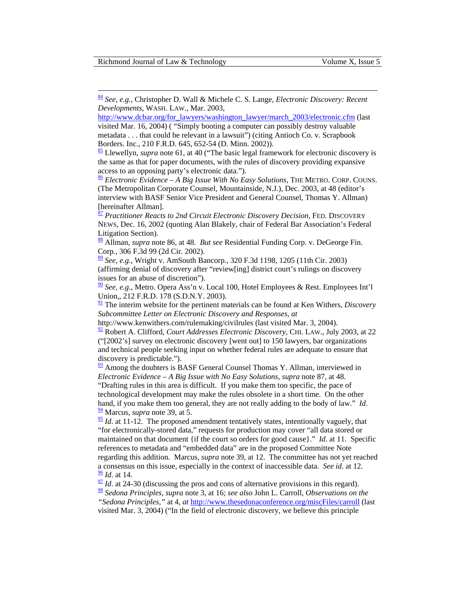<span id="page-30-0"></span>[84](#page-9-0) *See, e.g.*, Christopher D. Wall & Michele C. S. Lange, *Electronic Discovery: Recent Developments*, WASH. LAW., Mar. 2003,

[http://www.dcbar.org/for\\_lawyers/washington\\_lawyer/march\\_2003/electronic.cfm](http://www.dcbar.org/for_lawyers/washington_lawyer/march_2003/electronic.cfm) (last visited Mar. 16, 2004) ( "Simply booting a computer can possibly destroy valuable metadata . . . that could be relevant in a lawsuit") (citing Antioch Co. v. Scrapbook Borders. Inc., 210 F.R.D. 645, 652-54 (D. Minn. 2002)).

[85 L](#page-10-0)lewellyn, *supra* note 61, at 40 ("The basic legal framework for electronic discovery is the same as that for paper documents, with the rules of discovery providing expansive access to an opposing party's electronic data.").

[86](#page-10-0) *Electronic Evidence – A Big Issue With No Easy Solutions*, THE METRO. CORP. COUNS. (The Metropolitan Corporate Counsel, Mountainside, N.J.), Dec. 2003, at 48 (editor's interview with BASF Senior Vice President and General Counsel, Thomas Y. Allman) [hereinafter Allman].

[87](#page-10-0) *Practitioner Reacts to 2nd Circuit Electronic Discovery Decision*, FED. DISCOVERY NEWS, Dec. 16, 2002 (quoting Alan Blakely, chair of Federal Bar Association's Federal Litigation Section).

[88 A](#page-10-0)llman, *supra* note 86, at 48. *But see* Residential Funding Corp. v. DeGeorge Fin. Corp*.*, 306 F.3d 99 (2d Cir. 2002).

[89](#page-10-0) *See, e.g.*, Wright v. AmSouth Bancorp*.*, 320 F.3d 1198, 1205 (11th Cir. 2003) (affirming denial of discovery after "review[ing] district court's rulings on discovery issues for an abuse of discretion").

[90](#page-10-0) *See, e.g.*, Metro. Opera Ass'n v. Local 100, Hotel Employees & Rest. Employees Int'l Union,, 212 F.R.D. 178 (S.D.N.Y. 2003).

[91 T](#page-10-0)he interim website for the pertinent materials can be found at Ken Withers, *Discovery Subcommittee Letter on Electronic Discovery and Responses*, *at*

http://www.kenwithers.com/rulemaking/civilrules (last visited Mar. 3, 2004).

[92](#page-10-0) Robert A. Clifford, *Court Addresses Electronic Discovery*, CHI. LAW., July 2003, at 22 ("[2002's] survey on electronic discovery [went out] to 150 lawyers, bar organizations and technical people seeking input on whether federal rules are adequate to ensure that discovery is predictable.").

 $\frac{93}{2}$  Among the doubters is BASF General Counsel Thomas Y. Allman, interviewed in *Electronic Evidence – A Big Issue with No Easy Solutions*, *supra* note 87, at 48. "Drafting rules in this area is difficult. If you make them too specific, the pace of technological development may make the rules obsolete in a short time. On the other

hand, if you make them too general, they are not really adding to the body of law." *Id*. <sup>94</sup> Marcus, *supra* note 39, at 5.

 $\frac{95}{2}$  $\frac{95}{2}$  $\frac{95}{2}$  *Id.* at 11-12. The proposed amendment tentatively states, intentionally vaguely, that "for electronically-stored data," requests for production may cover "all data stored or maintained on that document {if the court so orders for good cause}." *Id*. at 11. Specific references to metadata and "embedded data" are in the proposed Committee Note regarding this addition. Marcus, *supra* note 39, at 12. The committee has not yet reached a consensus on this issue, especially in the context of inaccessible data. *See id.* at 12.  $\frac{96}{1}$  $\frac{96}{1}$  $\frac{96}{1}$  *Id.* at 14.  $\frac{97}{1}$  $\frac{97}{1}$  $\frac{97}{1}$  *Id.* at 24-30 (discussing the pros and cons of alternative provisions in this regard).

[98](#page-11-0) *Sedona Principles*, *supra* note 3, at 16; *see also* John L. Carroll, *Observations on the "Sedona Principles*,*"* at 4, *at* <http://www.thesedonaconference.org/miscFiles/carroll>(last visited Mar. 3, 2004) ("In the field of electronic discovery, we believe this principle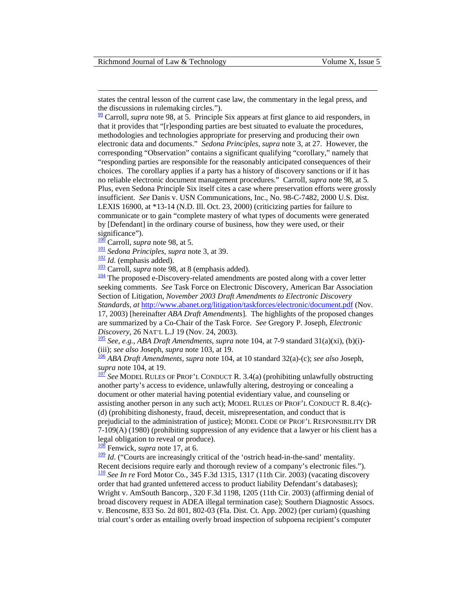<span id="page-31-0"></span>states the central lesson of the current case law, the commentary in the legal press, and the discussions in rulemaking circles.").

 $\frac{99}{2}$  Carroll, *supra* note 98, at 5. Principle Six appears at first glance to aid responders, in that it provides that "[r]esponding parties are best situated to evaluate the procedures, methodologies and technologies appropriate for preserving and producing their own electronic data and documents." *Sedona Principles*, *supra* note 3, at 27. However, the corresponding "Observation" contains a significant qualifying "corollary," namely that "responding parties are responsible for the reasonably anticipated consequences of their choices. The corollary applies if a party has a history of discovery sanctions or if it has no reliable electronic document management procedures." Carroll, *supra* note 98, at 5*.* Plus, even Sedona Principle Six itself cites a case where preservation efforts were grossly insufficient. *See* Danis v. USN Communications, Inc., No. 98-C-7482, 2000 U.S. Dist. LEXIS 16900, at \*13-14 (N.D. Ill. Oct. 23, 2000) (criticizing parties for failure to communicate or to gain "complete mastery of what types of documents were generated by [Defendant] in the ordinary course of business, how they were used, or their

significance").<br> $\frac{100}{100}$  Carroll, *supra* note 98, at 5.

<sup>101</sup> Sedona Principles, supra note 3, at 39.<br><sup>[102](#page-11-0)</sup> *Id.* (emphasis added).<br><sup>103</sup> Carroll, *supra* note 98, at 8 (emphasis added).<br><sup>104</sup> The proposed e-Discovery-related amendments are posted along with a cover letter seeking comments. *See* Task Force on Electronic Discovery, American Bar Association Section of Litigation, *November 2003 Draft Amendments to Electronic Discovery Standards*, *at* <http://www.abanet.org/litigation/taskforces/electronic/document.pdf> (Nov.

17, 2003) [hereinafter *ABA Draft Amendments*]. The highlights of the proposed changes are summarized by a Co-Chair of the Task Force. *See* Gregory P. Joseph, *Electronic Discovery*, 26 NAT'L L.J 19 (Nov. 24, 2003).<br><sup>[105](#page-11-0)</sup> *See, e.g., ABA Draft Amendments, supra* note 104, at 7-9 standard 31(a)(xi), (b)(i)-

(iii); *see also Joseph, supra* note 103, at 19.<br><sup>[106](#page-12-0)</sup> *ABA Draft Amendments, supra* note 104, at 10 standard 32(a)-(c); *see also Joseph, supra* note 104, at 19.

<sup>[107](#page-12-0)</sup> See MODEL RULES OF PROF'L CONDUCT R. 3.4(a) (prohibiting unlawfully obstructing another party's access to evidence, unlawfully altering, destroying or concealing a document or other material having potential evidentiary value, and counseling or assisting another person in any such act); MODEL RULES OF PROF'L CONDUCT R. 8.4(c)- (d) (prohibiting dishonesty, fraud, deceit, misrepresentation, and conduct that is prejudicial to the administration of justice); MODEL CODE OF PROF'L RESPONSIBILITY DR 7-109(A) (1980) (prohibiting suppression of any evidence that a lawyer or his client has a legal obligation to reveal or produce).

[108](#page-12-0) Fenwick, *supra* note 17, at 6.

 $\frac{109}{10}$  $\frac{109}{10}$  $\frac{109}{10}$  *Id.* ("Courts are increasingly critical of the 'ostrich head-in-the-sand' mentality. [Rec](#page-13-0)ent decisions require early and thorough review of a company's electronic files."). [110](#page-13-0) *See In re* Ford Motor Co., 345 F.3d 1315, 1317 (11th Cir. 2003) (vacating discovery

order that had granted unfettered access to product liability Defendant's databases); Wright v. AmSouth Bancorp*.*, 320 F.3d 1198, 1205 (11th Cir. 2003) (affirming denial of broad discovery request in ADEA illegal termination case); Southern Diagnostic Assocs. v. Bencosme, 833 So. 2d 801, 802-03 (Fla. Dist. Ct. App. 2002) (per curiam) (quashing trial court's order as entailing overly broad inspection of subpoena recipient's computer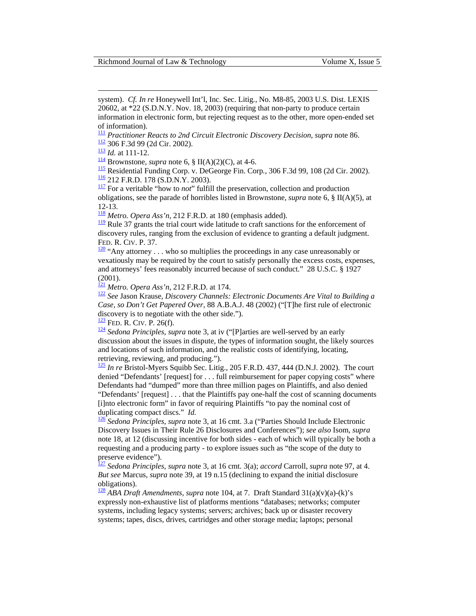system). *Cf. In re* Honeywell Int'l, Inc. Sec. Litig*.*, No. M8-85, 2003 U.S. Dist. LEXIS 20602, at \*22 (S.D.N.Y. Nov. 18, 2003) (requiring that non-party to produce certain information in electronic form, but rejecting request as to the other, more open-ended set of information).<br> $\frac{111}{1}$  Practitioner Reacts to 2nd Circuit Electronic Discovery Decision, supra note 86.

<span id="page-32-0"></span> $\overline{a}$ 

<sup>[112](#page-13-0)</sup> 306 F.3d 99 (2d Cir. 2002).<br>
<sup>[113](#page-13-0)</sup> *Id.* at 111-12.<br>
<sup>114</sup> Brownstone, *supra* note 6, § II(A)(2)(C), at 4-6.<br>
<sup>115</sup> Residential Funding Corp. v. DeGeorge Fin. Corp., 306 F.3d 99, 108 (2d Cir. 2002).<br>
<sup>115</sup> 212 F.R.

obligations, see the parade of horribles listed in Brownstone, *supra* note 6, § II(A)(5), at 12-13.

<sup>118</sup> *Metro. Opera Ass'n*, 212 F.R.D. at 180 (emphasis added).

 $\frac{119}{2}$  Rule 37 grants the trial court wide latitude to craft sanctions for the enforcement of discovery rules, ranging from the exclusion of evidence to granting a default judgment. FED. R. CIV. P. 37.<br> $\frac{120}{20}$  "Any attorney . . . who so multiplies the proceedings in any case unreasonably or

vexatiously may be required by the court to satisfy personally the excess costs, expenses, and attorneys' fees reasonably incurred because of such conduct." 28 U.S.C. § 1927  $(2001)$ .<br> $\frac{121}{21}$  *Metro. Opera Ass'n*, 212 F.R.D. at 174.

<sup>[122](#page-14-0)</sup> See Jason Krause, *Discovery Channels: Electronic Documents Are Vital to Building a Case, so Don't Get Papered Over*, 88 A.B.A.J. 48 (2002) ("[T]he first rule of electronic discovery is to negotiate with the other side.").

[123](#page-14-0) FED. R. CIV. P. 26(f). [124](#page-14-0) *Sedona Principles*, *supra* note 3, at iv ("[P]arties are well-served by an early discussion about the issues in dispute, the types of information sought, the likely sources and locations of such information, and the realistic costs of identifying, locating, retrieving, reviewing, and producing.").

[125](#page-14-0) *In re* Bristol-Myers Squibb Sec. Litig., 205 F.R.D. 437, 444 (D.N.J. 2002). The court denied "Defendants' [request] for . . . full reimbursement for paper copying costs" where Defendants had "dumped" more than three million pages on Plaintiffs, and also denied "Defendants' [request] . . . that the Plaintiffs pay one-half the cost of scanning documents [i]nto electronic form" in favor of requiring Plaintiffs "to pay the nominal cost of duplicating compact discs." *Id.*<br><sup>[126](#page-14-0)</sup> Sedona Principles, *supra* note 3, at 16 cmt. 3.a ("Parties Should Include Electronic

Discovery Issues in Their Rule 26 Disclosures and Conferences"); *see also* Isom, *supra*  note 18, at 12 (discussing incentive for both sides - each of which will typically be both a requesting and a producing party - to explore issues such as "the scope of the duty to preserve evidence").

[127](#page-14-0) *Sedona Principles*, *supra* note 3, at 16 cmt. 3(a); *accord* Carroll, *supra* note 97, at 4. *But see* Marcus, *supra* note 39, at 19 n.15 (declining to expand the initial disclosure obligations).

[128](#page-14-0) *ABA Draft Amendments*, *supra* note 104, at 7. Draft Standard 31(a)(v)(a)-(k)'s expressly non-exhaustive list of platforms mentions "databases; networks; computer systems, including legacy systems; servers; archives; back up or disaster recovery systems; tapes, discs, drives, cartridges and other storage media; laptops; personal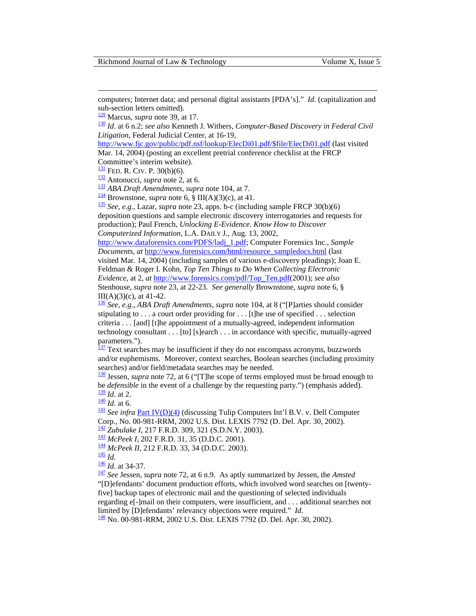computers; Internet data; and personal digital assistants [PDA's]." *Id*. (capitalization and sub-section letters omitted).<br> $\frac{129}{2}$  Marcus, *supra* note 39, at 17.

<span id="page-33-0"></span> $\overline{a}$ 

<sup>[130](#page-14-0)</sup> Id. at 6 n.2; see also Kenneth J. Withers, *Computer-Based Discovery in Federal Civil Litigation*, Federal Judicial Center, at 16-19,

[http://www.fjc.gov/public/pdf.nsf/lookup/ElecDi01.pdf/\\$file/ElecDi01.pdf](http://www.fjc.gov/public/pdf.nsf/lookup/ElecDi01.pdf/$file/ElecDi01.pdf) (last visited

Mar. 14, 2004) (posting an excellent pretrial conference checklist at the FRCP Committee's interim website).<br> $\frac{131}{131}$  FED. R. CIV. P. 30(b)(6).

<sup>132</sup> Antonucci, *supra* note 2, at 6.<br><sup>[133](#page-15-0)</sup> ABA Draft Amendments, *supra* note 104, at 7.<br><sup>134</sup> Brownstone, *supra* note 6, § III(A)(3)(c), at 41.<br><sup>[135](#page-15-0)</sup> See, e.g., Lazar, *supra* note 23, apps. b-c (including sample FRCP deposition questions and sample electronic discovery interrogatories and requests for production); Paul French, *Unlocking E-Evidence. Know How to Discover Computerized Information*, L.A. DAILY J., Aug. 13, 2002,

[http://www.dataforensics.com/PDFS/ladj\\_1.pdf;](http://www.dataforensics.com/PDFS/ladj_1.pdf) Computer Forensics Inc., *Sample Documents*, *at* [http://www.forensics.com/html/resource\\_sampledocs.html](http://www.forensics.com/html/resource_sampledocs.html) (last visited Mar. 14, 2004) (including samples of various e-discovery pleadings); Joan E. Feldman & Roger I. Kohn*, Top Ten Things to Do When Collecting Electronic Evidence*, at 2, *at* [http://www.forensics.com/pdf/Top\\_Ten.pdf\(](http://www.forensics.com/pdf/Top_Ten.pdf)2001); *see also*  Stenhouse, *supra* note 23, at 22-23. *See generally* Brownstone, *supra* note 6, §

 $III(A)(3)(c)$ , at 41-42.

[136](#page-15-0) *See, e.g.*, *ABA Draft Amendments*, *supra* note 104, at 8 ("[P]arties should consider stipulating to  $\dots$  a court order providing for  $\dots$  [t]he use of specified  $\dots$  selection criteria . . . [and] [t]he appointment of a mutually-agreed, independent information technology consultant . . . [to] [s]earch . . . in accordance with specific, mutually-agreed parameters.").

 $\frac{137}{137}$  Text searches may be insufficient if they do not encompass acronyms, buzzwords and/or euphemisms. Moreover, context searches, Boolean searches (including proximity searches) and/or field/metadata searches may be needed.

[138 J](#page-16-0)essen, *supra* note 72, at 6 ("[T]he scope of terms employed must be broad enough to be *defensible* in the event of a challenge by the requesting party.") (emphasis added).  $\frac{139}{132}$  *Id.* at 2.

140 *Id.* at 2.<br>
<sup>140</sup> *Id.* at 6.<br>
<sup>[141](#page-16-0)</sup> *See infra* <u>Part IV(D)(4)</u> (discussing Tulip Computers Int'l B.V. v. Dell Computer Corp., No. 00-981-RRM, 2002 U.S. Dist. LEXIS 7792 (D. Del. Apr. 30, 2002).

 $\frac{142}{142}$  $\frac{142}{142}$  $\frac{142}{142}$  Zubulake I, 217 F.R.D. 309, 321 (S.D.N.Y. 2003).<br>  $\frac{143}{143}$  $\frac{143}{143}$  $\frac{143}{143}$  McPeek I, 202 F.R.D. 31, 35 (D.D.C. 2001).<br>  $\frac{144}{145}$  $\frac{144}{145}$  $\frac{144}{145}$  $\frac{144}{145}$  $\frac{144}{145}$  Id.<br>  $\frac{145}{145}$  Id.<br>  $\frac{145}{145}$  Id. at 34-37.<br>  $\frac{145}{147}$  $\frac{145}{147}$  $\frac{145}{147}$  See Jessen, *supra* "[D]efendants' document production efforts, which involved word searches on [twentyfive] backup tapes of electronic mail and the questioning of selected individuals regarding e[-]mail on their computers, were insufficient, and  $\dots$  additional searches not limited by [D] efendants' relevancy objections were required." *Id.* 

[148](#page-17-0) No. 00-981-RRM, 2002 U.S. Dist. LEXIS 7792 (D. Del. Apr. 30, 2002).